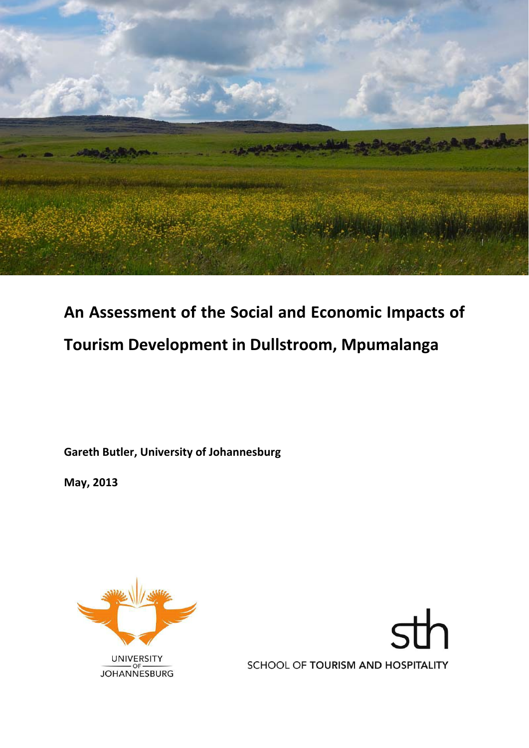

# **An Assessment of the Social and Economic Impacts of Tourism Development in Dullstroom, Mpumalanga**

**Gareth Butler, University of Johannesburg**

**May, 2013**



SCHOOL OF TOURISM AND HOSPITALITY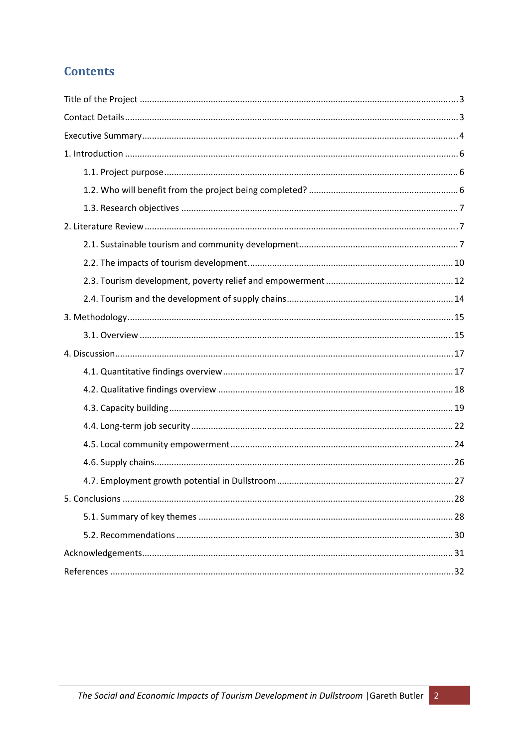# **Contents**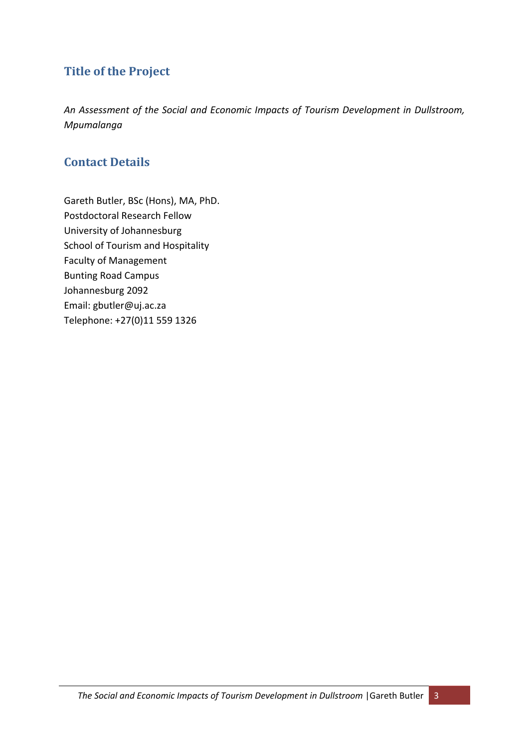# **Title of the Project**

*An Assessment of the Social and Economic Impacts of Tourism Development in Dullstroom, Mpumalanga*

# **Contact Details**

Gareth Butler, BSc (Hons), MA, PhD. Postdoctoral Research Fellow University of Johannesburg School of Tourism and Hospitality Faculty of Management Bunting Road Campus Johannesburg 2092 Email: gbutler@uj.ac.za Telephone: +27(0)11 559 1326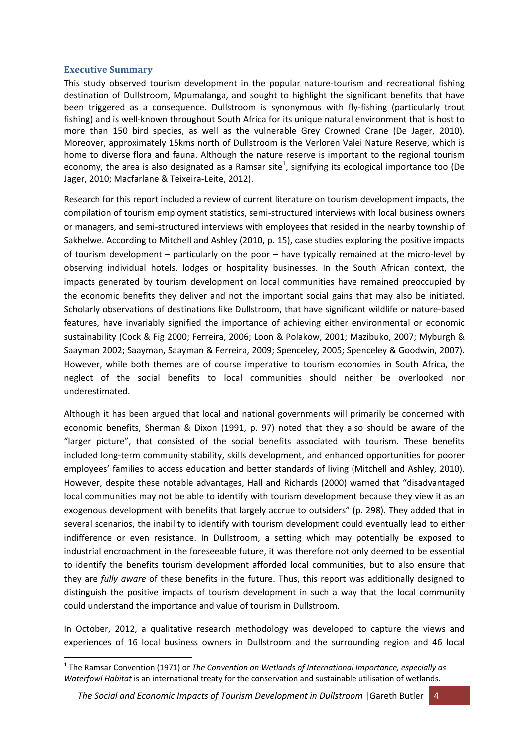#### **Executive Summary**

This study observed tourism development in the popular nature-tourism and recreational fishing destination of Dullstroom, Mpumalanga, and sought to highlight the significant benefits that have been triggered as a consequence. Dullstroom is synonymous with fly-fishing (particularly trout fishing) and is well-known throughout South Africa for its unique natural environment that is host to more than 150 bird species, as well as the vulnerable Grey Crowned Crane (De Jager, 2010). Moreover, approximately 15kms north of Dullstroom is the Verloren Valei Nature Reserve, which is home to diverse flora and fauna. Although the nature reserve is important to the regional tourism economy, the area is also designated as a Ramsar site<sup>1</sup>, signifying its ecological importance too (De Jager, 2010; Macfarlane & Teixeira‐Leite, 2012).

Research for this report included a review of current literature on tourism development impacts, the compilation of tourism employment statistics, semi-structured interviews with local business owners or managers, and semi‐structured interviews with employees that resided in the nearby township of Sakhelwe. According to Mitchell and Ashley (2010, p. 15), case studies exploring the positive impacts of tourism development – particularly on the poor – have typically remained at the micro‐level by observing individual hotels, lodges or hospitality businesses. In the South African context, the impacts generated by tourism development on local communities have remained preoccupied by the economic benefits they deliver and not the important social gains that may also be initiated. Scholarly observations of destinations like Dullstroom, that have significant wildlife or nature‐based features, have invariably signified the importance of achieving either environmental or economic sustainability (Cock & Fig 2000; Ferreira, 2006; Loon & Polakow, 2001; Mazibuko, 2007; Myburgh & Saayman 2002; Saayman, Saayman & Ferreira, 2009; Spenceley, 2005; Spenceley & Goodwin, 2007). However, while both themes are of course imperative to tourism economies in South Africa, the neglect of the social benefits to local communities should neither be overlooked nor underestimated.

Although it has been argued that local and national governments will primarily be concerned with economic benefits, Sherman & Dixon (1991, p. 97) noted that they also should be aware of the "larger picture", that consisted of the social benefits associated with tourism. These benefits included long-term community stability, skills development, and enhanced opportunities for poorer employees' families to access education and better standards of living (Mitchell and Ashley, 2010). However, despite these notable advantages, Hall and Richards (2000) warned that "disadvantaged local communities may not be able to identify with tourism development because they view it as an exogenous development with benefits that largely accrue to outsiders" (p. 298). They added that in several scenarios, the inability to identify with tourism development could eventually lead to either indifference or even resistance. In Dullstroom, a setting which may potentially be exposed to industrial encroachment in the foreseeable future, it was therefore not only deemed to be essential to identify the benefits tourism development afforded local communities, but to also ensure that they are *fully aware* of these benefits in the future. Thus, this report was additionally designed to distinguish the positive impacts of tourism development in such a way that the local community could understand the importance and value of tourism in Dullstroom.

In October, 2012, a qualitative research methodology was developed to capture the views and experiences of 16 local business owners in Dullstroom and the surrounding region and 46 local

<sup>1</sup> The Ramsar Convention (1971) or *The Convention on Wetlands of International Importance, especially as Waterfowl Habitat* is an international treaty for the conservation and sustainable utilisation of wetlands.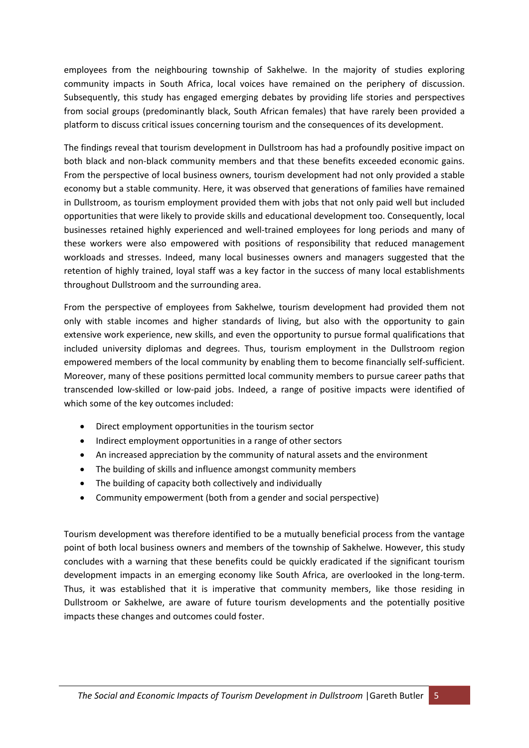employees from the neighbouring township of Sakhelwe. In the majority of studies exploring community impacts in South Africa, local voices have remained on the periphery of discussion. Subsequently, this study has engaged emerging debates by providing life stories and perspectives from social groups (predominantly black, South African females) that have rarely been provided a platform to discuss critical issues concerning tourism and the consequences of its development.

The findings reveal that tourism development in Dullstroom has had a profoundly positive impact on both black and non‐black community members and that these benefits exceeded economic gains. From the perspective of local business owners, tourism development had not only provided a stable economy but a stable community. Here, it was observed that generations of families have remained in Dullstroom, as tourism employment provided them with jobs that not only paid well but included opportunities that were likely to provide skills and educational development too. Consequently, local businesses retained highly experienced and well‐trained employees for long periods and many of these workers were also empowered with positions of responsibility that reduced management workloads and stresses. Indeed, many local businesses owners and managers suggested that the retention of highly trained, loyal staff was a key factor in the success of many local establishments throughout Dullstroom and the surrounding area.

From the perspective of employees from Sakhelwe, tourism development had provided them not only with stable incomes and higher standards of living, but also with the opportunity to gain extensive work experience, new skills, and even the opportunity to pursue formal qualifications that included university diplomas and degrees. Thus, tourism employment in the Dullstroom region empowered members of the local community by enabling them to become financially self-sufficient. Moreover, many of these positions permitted local community members to pursue career paths that transcended low‐skilled or low‐paid jobs. Indeed, a range of positive impacts were identified of which some of the key outcomes included:

- Direct employment opportunities in the tourism sector
- Indirect employment opportunities in a range of other sectors
- An increased appreciation by the community of natural assets and the environment
- The building of skills and influence amongst community members
- The building of capacity both collectively and individually
- Community empowerment (both from a gender and social perspective)

Tourism development was therefore identified to be a mutually beneficial process from the vantage point of both local business owners and members of the township of Sakhelwe. However, this study concludes with a warning that these benefits could be quickly eradicated if the significant tourism development impacts in an emerging economy like South Africa, are overlooked in the long-term. Thus, it was established that it is imperative that community members, like those residing in Dullstroom or Sakhelwe, are aware of future tourism developments and the potentially positive impacts these changes and outcomes could foster.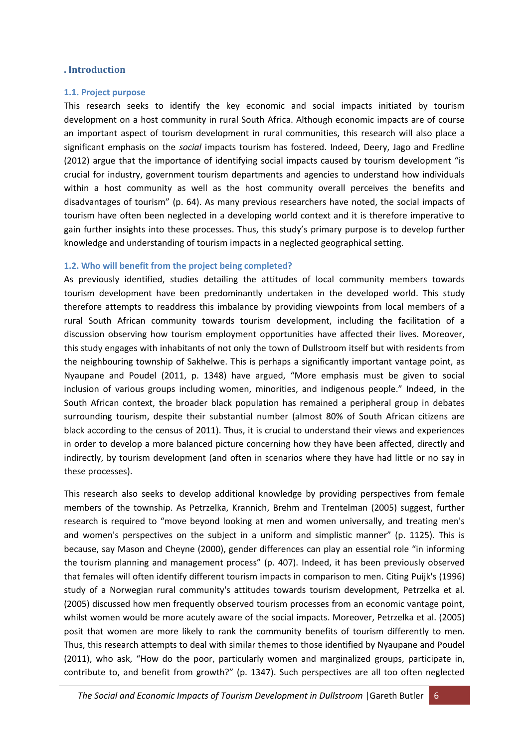#### **. Introduction**

#### **1.1. Project purpose**

This research seeks to identify the key economic and social impacts initiated by tourism development on a host community in rural South Africa. Although economic impacts are of course an important aspect of tourism development in rural communities, this research will also place a significant emphasis on the *social* impacts tourism has fostered. Indeed, Deery, Jago and Fredline (2012) argue that the importance of identifying social impacts caused by tourism development "is crucial for industry, government tourism departments and agencies to understand how individuals within a host community as well as the host community overall perceives the benefits and disadvantages of tourism" (p. 64). As many previous researchers have noted, the social impacts of tourism have often been neglected in a developing world context and it is therefore imperative to gain further insights into these processes. Thus, this study's primary purpose is to develop further knowledge and understanding of tourism impacts in a neglected geographical setting.

#### **1.2. Who will benefit from the project being completed?**

As previously identified, studies detailing the attitudes of local community members towards tourism development have been predominantly undertaken in the developed world. This study therefore attempts to readdress this imbalance by providing viewpoints from local members of a rural South African community towards tourism development, including the facilitation of a discussion observing how tourism employment opportunities have affected their lives. Moreover, this study engages with inhabitants of not only the town of Dullstroom itself but with residents from the neighbouring township of Sakhelwe. This is perhaps a significantly important vantage point, as Nyaupane and Poudel (2011, p. 1348) have argued, "More emphasis must be given to social inclusion of various groups including women, minorities, and indigenous people." Indeed, in the South African context, the broader black population has remained a peripheral group in debates surrounding tourism, despite their substantial number (almost 80% of South African citizens are black according to the census of 2011). Thus, it is crucial to understand their views and experiences in order to develop a more balanced picture concerning how they have been affected, directly and indirectly, by tourism development (and often in scenarios where they have had little or no say in these processes).

This research also seeks to develop additional knowledge by providing perspectives from female members of the township. As Petrzelka, Krannich, Brehm and Trentelman (2005) suggest, further research is required to "move beyond looking at men and women universally, and treating men's and women's perspectives on the subject in a uniform and simplistic manner" (p. 1125). This is because, say Mason and Cheyne (2000), gender differences can play an essential role "in informing the tourism planning and management process" (p. 407). Indeed, it has been previously observed that females will often identify different tourism impacts in comparison to men. Citing Puijk's (1996) study of a Norwegian rural community's attitudes towards tourism development, Petrzelka et al. (2005) discussed how men frequently observed tourism processes from an economic vantage point, whilst women would be more acutely aware of the social impacts. Moreover, Petrzelka et al. (2005) posit that women are more likely to rank the community benefits of tourism differently to men. Thus, this research attempts to deal with similar themes to those identified by Nyaupane and Poudel (2011), who ask, "How do the poor, particularly women and marginalized groups, participate in, contribute to, and benefit from growth?" (p. 1347). Such perspectives are all too often neglected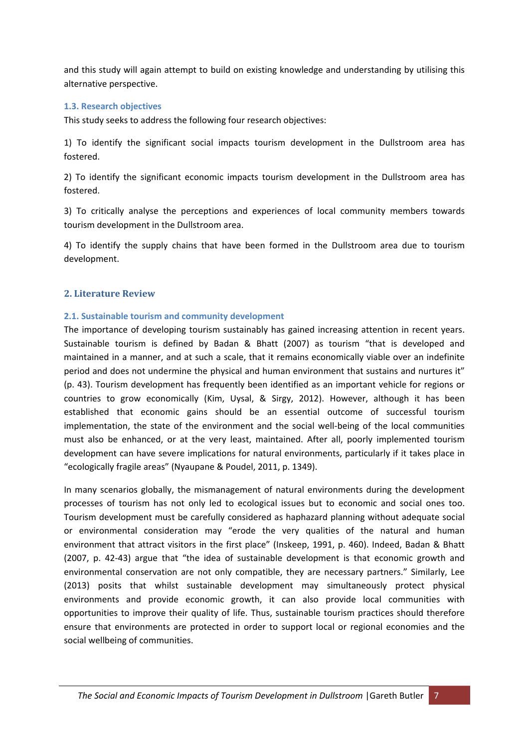and this study will again attempt to build on existing knowledge and understanding by utilising this alternative perspective.

#### **1.3. Research objectives**

This study seeks to address the following four research objectives:

1) To identify the significant social impacts tourism development in the Dullstroom area has fostered.

2) To identify the significant economic impacts tourism development in the Dullstroom area has fostered.

3) To critically analyse the perceptions and experiences of local community members towards tourism development in the Dullstroom area.

4) To identify the supply chains that have been formed in the Dullstroom area due to tourism development.

#### **2. Literature Review**

#### **2.1. Sustainable tourism and community development**

The importance of developing tourism sustainably has gained increasing attention in recent years. Sustainable tourism is defined by Badan & Bhatt (2007) as tourism "that is developed and maintained in a manner, and at such a scale, that it remains economically viable over an indefinite period and does not undermine the physical and human environment that sustains and nurtures it" (p. 43). Tourism development has frequently been identified as an important vehicle for regions or countries to grow economically (Kim, Uysal, & Sirgy, 2012). However, although it has been established that economic gains should be an essential outcome of successful tourism implementation, the state of the environment and the social well‐being of the local communities must also be enhanced, or at the very least, maintained. After all, poorly implemented tourism development can have severe implications for natural environments, particularly if it takes place in "ecologically fragile areas" (Nyaupane & Poudel, 2011, p. 1349).

In many scenarios globally, the mismanagement of natural environments during the development processes of tourism has not only led to ecological issues but to economic and social ones too. Tourism development must be carefully considered as haphazard planning without adequate social or environmental consideration may "erode the very qualities of the natural and human environment that attract visitors in the first place" (Inskeep, 1991, p. 460). Indeed, Badan & Bhatt (2007, p. 42‐43) argue that "the idea of sustainable development is that economic growth and environmental conservation are not only compatible, they are necessary partners." Similarly, Lee (2013) posits that whilst sustainable development may simultaneously protect physical environments and provide economic growth, it can also provide local communities with opportunities to improve their quality of life. Thus, sustainable tourism practices should therefore ensure that environments are protected in order to support local or regional economies and the social wellbeing of communities.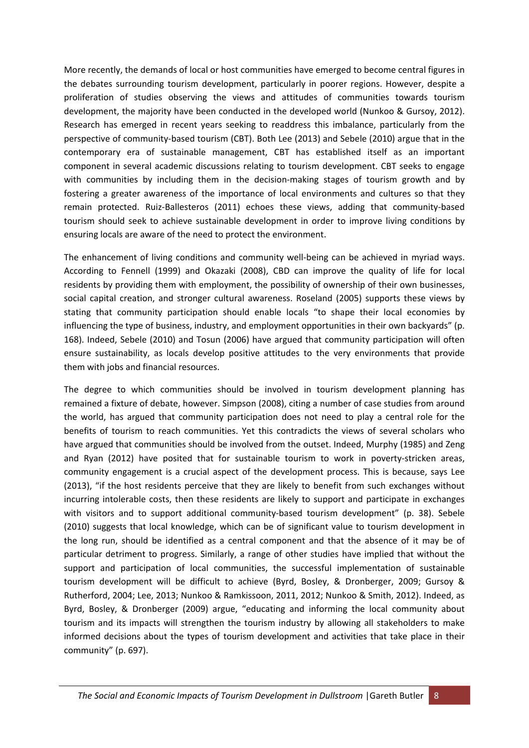More recently, the demands of local or host communities have emerged to become central figures in the debates surrounding tourism development, particularly in poorer regions. However, despite a proliferation of studies observing the views and attitudes of communities towards tourism development, the majority have been conducted in the developed world (Nunkoo & Gursoy, 2012). Research has emerged in recent years seeking to readdress this imbalance, particularly from the perspective of community‐based tourism (CBT). Both Lee (2013) and Sebele (2010) argue that in the contemporary era of sustainable management, CBT has established itself as an important component in several academic discussions relating to tourism development. CBT seeks to engage with communities by including them in the decision-making stages of tourism growth and by fostering a greater awareness of the importance of local environments and cultures so that they remain protected. Ruiz‐Ballesteros (2011) echoes these views, adding that community‐based tourism should seek to achieve sustainable development in order to improve living conditions by ensuring locals are aware of the need to protect the environment.

The enhancement of living conditions and community well-being can be achieved in myriad ways. According to Fennell (1999) and Okazaki (2008), CBD can improve the quality of life for local residents by providing them with employment, the possibility of ownership of their own businesses, social capital creation, and stronger cultural awareness. Roseland (2005) supports these views by stating that community participation should enable locals "to shape their local economies by influencing the type of business, industry, and employment opportunities in their own backyards" (p. 168). Indeed, Sebele (2010) and Tosun (2006) have argued that community participation will often ensure sustainability, as locals develop positive attitudes to the very environments that provide them with jobs and financial resources.

The degree to which communities should be involved in tourism development planning has remained a fixture of debate, however. Simpson (2008), citing a number of case studies from around the world, has argued that community participation does not need to play a central role for the benefits of tourism to reach communities. Yet this contradicts the views of several scholars who have argued that communities should be involved from the outset. Indeed, Murphy (1985) and Zeng and Ryan (2012) have posited that for sustainable tourism to work in poverty-stricken areas, community engagement is a crucial aspect of the development process. This is because, says Lee (2013), "if the host residents perceive that they are likely to benefit from such exchanges without incurring intolerable costs, then these residents are likely to support and participate in exchanges with visitors and to support additional community-based tourism development" (p. 38). Sebele (2010) suggests that local knowledge, which can be of significant value to tourism development in the long run, should be identified as a central component and that the absence of it may be of particular detriment to progress. Similarly, a range of other studies have implied that without the support and participation of local communities, the successful implementation of sustainable tourism development will be difficult to achieve (Byrd, Bosley, & Dronberger, 2009; Gursoy & Rutherford, 2004; Lee, 2013; Nunkoo & Ramkissoon, 2011, 2012; Nunkoo & Smith, 2012). Indeed, as Byrd, Bosley, & Dronberger (2009) argue, "educating and informing the local community about tourism and its impacts will strengthen the tourism industry by allowing all stakeholders to make informed decisions about the types of tourism development and activities that take place in their community" (p. 697).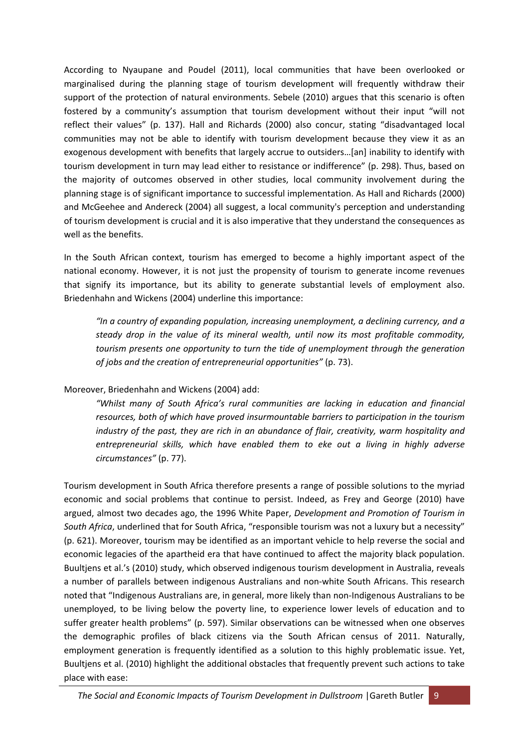According to Nyaupane and Poudel (2011), local communities that have been overlooked or marginalised during the planning stage of tourism development will frequently withdraw their support of the protection of natural environments. Sebele (2010) argues that this scenario is often fostered by a community's assumption that tourism development without their input "will not reflect their values" (p. 137). Hall and Richards (2000) also concur, stating "disadvantaged local communities may not be able to identify with tourism development because they view it as an exogenous development with benefits that largely accrue to outsiders…[an] inability to identify with tourism development in turn may lead either to resistance or indifference" (p. 298). Thus, based on the majority of outcomes observed in other studies, local community involvement during the planning stage is of significant importance to successful implementation. As Hall and Richards (2000) and McGeehee and Andereck (2004) all suggest, a local community's perception and understanding of tourism development is crucial and it is also imperative that they understand the consequences as well as the benefits.

In the South African context, tourism has emerged to become a highly important aspect of the national economy. However, it is not just the propensity of tourism to generate income revenues that signify its importance, but its ability to generate substantial levels of employment also. Briedenhahn and Wickens (2004) underline this importance:

*"In a country of expanding population, increasing unemployment, a declining currency, and a steady drop in the value of its mineral wealth, until now its most profitable commodity, tourism presents one opportunity to turn the tide of unemployment through the generation of jobs and the creation of entrepreneurial opportunities"* (p. 73).

Moreover, Briedenhahn and Wickens (2004) add:

*"Whilst many of South Africa's rural communities are lacking in education and financial resources, both of which have proved insurmountable barriers to participation in the tourism industry of the past, they are rich in an abundance of flair, creativity, warm hospitality and entrepreneurial skills, which have enabled them to eke out a living in highly adverse circumstances"* (p. 77).

Tourism development in South Africa therefore presents a range of possible solutions to the myriad economic and social problems that continue to persist. Indeed, as Frey and George (2010) have argued, almost two decades ago, the 1996 White Paper, *Development and Promotion of Tourism in South Africa*, underlined that for South Africa, "responsible tourism was not a luxury but a necessity" (p. 621). Moreover, tourism may be identified as an important vehicle to help reverse the social and economic legacies of the apartheid era that have continued to affect the majority black population. Buultjens et al.'s (2010) study, which observed indigenous tourism development in Australia, reveals a number of parallels between indigenous Australians and non‐white South Africans. This research noted that "Indigenous Australians are, in general, more likely than non-Indigenous Australians to be unemployed, to be living below the poverty line, to experience lower levels of education and to suffer greater health problems" (p. 597). Similar observations can be witnessed when one observes the demographic profiles of black citizens via the South African census of 2011. Naturally, employment generation is frequently identified as a solution to this highly problematic issue. Yet, Buultjens et al. (2010) highlight the additional obstacles that frequently prevent such actions to take place with ease: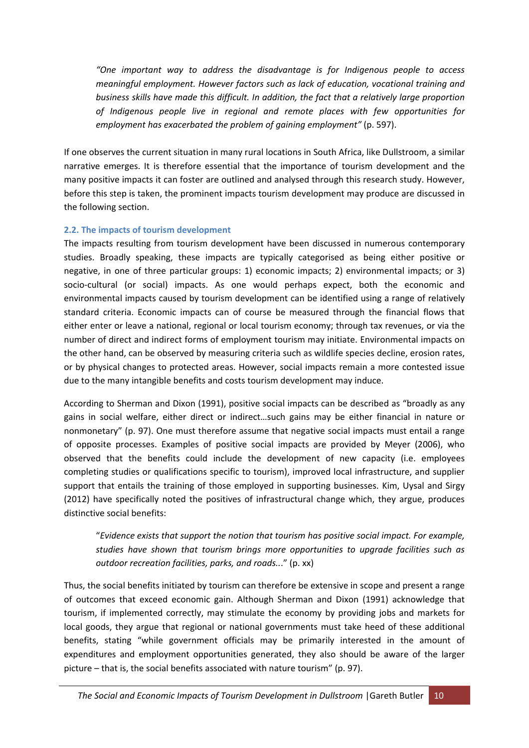*"One important way to address the disadvantage is for Indigenous people to access meaningful employment. However factors such as lack of education, vocational training and business skills have made this difficult. In addition, the fact that a relatively large proportion of Indigenous people live in regional and remote places with few opportunities for employment has exacerbated the problem of gaining employment"* (p. 597).

If one observes the current situation in many rural locations in South Africa, like Dullstroom, a similar narrative emerges. It is therefore essential that the importance of tourism development and the many positive impacts it can foster are outlined and analysed through this research study. However, before this step is taken, the prominent impacts tourism development may produce are discussed in the following section.

### **2.2. The impacts of tourism development**

The impacts resulting from tourism development have been discussed in numerous contemporary studies. Broadly speaking, these impacts are typically categorised as being either positive or negative, in one of three particular groups: 1) economic impacts; 2) environmental impacts; or 3) socio-cultural (or social) impacts. As one would perhaps expect, both the economic and environmental impacts caused by tourism development can be identified using a range of relatively standard criteria. Economic impacts can of course be measured through the financial flows that either enter or leave a national, regional or local tourism economy; through tax revenues, or via the number of direct and indirect forms of employment tourism may initiate. Environmental impacts on the other hand, can be observed by measuring criteria such as wildlife species decline, erosion rates, or by physical changes to protected areas. However, social impacts remain a more contested issue due to the many intangible benefits and costs tourism development may induce.

According to Sherman and Dixon (1991), positive social impacts can be described as "broadly as any gains in social welfare, either direct or indirect…such gains may be either financial in nature or nonmonetary" (p. 97). One must therefore assume that negative social impacts must entail a range of opposite processes. Examples of positive social impacts are provided by Meyer (2006), who observed that the benefits could include the development of new capacity (i.e. employees completing studies or qualifications specific to tourism), improved local infrastructure, and supplier support that entails the training of those employed in supporting businesses. Kim, Uysal and Sirgy (2012) have specifically noted the positives of infrastructural change which, they argue, produces distinctive social benefits:

"*Evidence exists that support the notion that tourism has positive social impact. For example, studies have shown that tourism brings more opportunities to upgrade facilities such as outdoor recreation facilities, parks, and roads..*." (p. xx)

Thus, the social benefits initiated by tourism can therefore be extensive in scope and present a range of outcomes that exceed economic gain. Although Sherman and Dixon (1991) acknowledge that tourism, if implemented correctly, may stimulate the economy by providing jobs and markets for local goods, they argue that regional or national governments must take heed of these additional benefits, stating "while government officials may be primarily interested in the amount of expenditures and employment opportunities generated, they also should be aware of the larger picture – that is, the social benefits associated with nature tourism" (p. 97).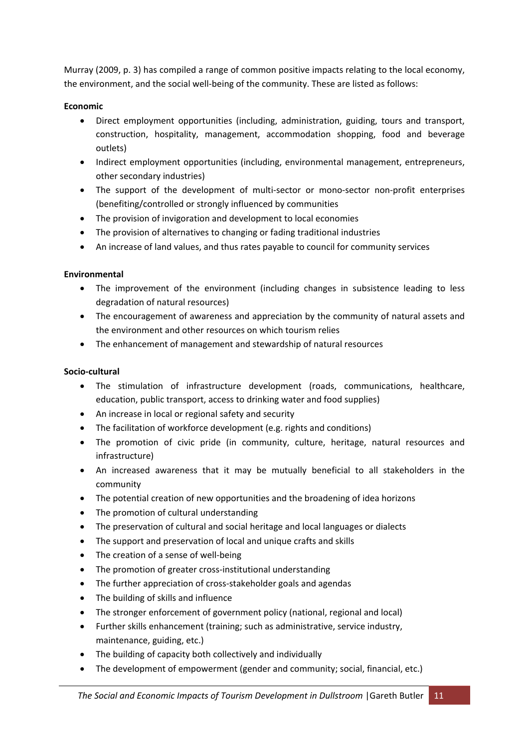Murray (2009, p. 3) has compiled a range of common positive impacts relating to the local economy, the environment, and the social well-being of the community. These are listed as follows:

# **Economic**

- Direct employment opportunities (including, administration, guiding, tours and transport, construction, hospitality, management, accommodation shopping, food and beverage outlets)
- Indirect employment opportunities (including, environmental management, entrepreneurs, other secondary industries)
- The support of the development of multi-sector or mono-sector non-profit enterprises (benefiting/controlled or strongly influenced by communities
- The provision of invigoration and development to local economies
- The provision of alternatives to changing or fading traditional industries
- An increase of land values, and thus rates payable to council for community services

# **Environmental**

- The improvement of the environment (including changes in subsistence leading to less degradation of natural resources)
- The encouragement of awareness and appreciation by the community of natural assets and the environment and other resources on which tourism relies
- The enhancement of management and stewardship of natural resources

# **Socio‐cultural**

- The stimulation of infrastructure development (roads, communications, healthcare, education, public transport, access to drinking water and food supplies)
- An increase in local or regional safety and security
- The facilitation of workforce development (e.g. rights and conditions)
- The promotion of civic pride (in community, culture, heritage, natural resources and infrastructure)
- An increased awareness that it may be mutually beneficial to all stakeholders in the community
- The potential creation of new opportunities and the broadening of idea horizons
- The promotion of cultural understanding
- The preservation of cultural and social heritage and local languages or dialects
- The support and preservation of local and unique crafts and skills
- The creation of a sense of well-being
- The promotion of greater cross‐institutional understanding
- The further appreciation of cross‐stakeholder goals and agendas
- The building of skills and influence
- The stronger enforcement of government policy (national, regional and local)
- Further skills enhancement (training; such as administrative, service industry, maintenance, guiding, etc.)
- The building of capacity both collectively and individually
- The development of empowerment (gender and community; social, financial, etc.)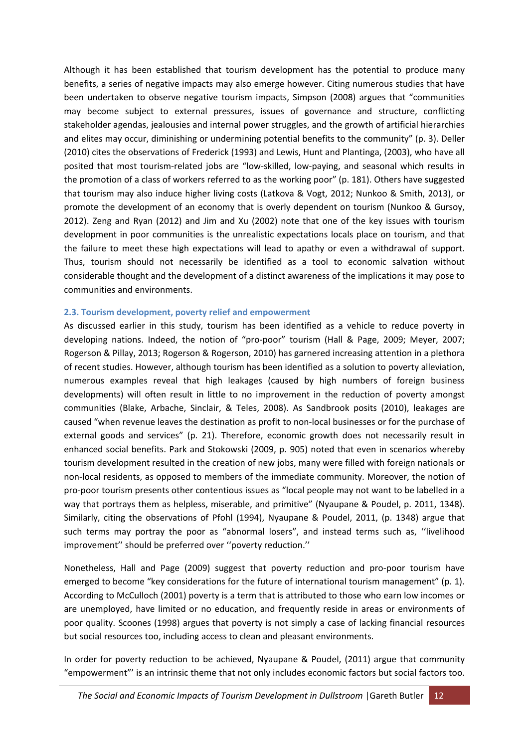Although it has been established that tourism development has the potential to produce many benefits, a series of negative impacts may also emerge however. Citing numerous studies that have been undertaken to observe negative tourism impacts, Simpson (2008) argues that "communities may become subject to external pressures, issues of governance and structure, conflicting stakeholder agendas, jealousies and internal power struggles, and the growth of artificial hierarchies and elites may occur, diminishing or undermining potential benefits to the community" (p. 3). Deller (2010) cites the observations of Frederick (1993) and Lewis, Hunt and Plantinga, (2003), who have all posited that most tourism‐related jobs are "low‐skilled, low‐paying, and seasonal which results in the promotion of a class of workers referred to as the working poor" (p. 181). Others have suggested that tourism may also induce higher living costs (Latkova & Vogt, 2012; Nunkoo & Smith, 2013), or promote the development of an economy that is overly dependent on tourism (Nunkoo & Gursoy, 2012). Zeng and Ryan (2012) and Jim and Xu (2002) note that one of the key issues with tourism development in poor communities is the unrealistic expectations locals place on tourism, and that the failure to meet these high expectations will lead to apathy or even a withdrawal of support. Thus, tourism should not necessarily be identified as a tool to economic salvation without considerable thought and the development of a distinct awareness of the implications it may pose to communities and environments.

#### **2.3. Tourism development, poverty relief and empowerment**

As discussed earlier in this study, tourism has been identified as a vehicle to reduce poverty in developing nations. Indeed, the notion of "pro‐poor" tourism (Hall & Page, 2009; Meyer, 2007; Rogerson & Pillay, 2013; Rogerson & Rogerson, 2010) has garnered increasing attention in a plethora of recent studies. However, although tourism has been identified as a solution to poverty alleviation, numerous examples reveal that high leakages (caused by high numbers of foreign business developments) will often result in little to no improvement in the reduction of poverty amongst communities (Blake, Arbache, Sinclair, & Teles, 2008). As Sandbrook posits (2010), leakages are caused "when revenue leaves the destination as profit to non‐local businesses or for the purchase of external goods and services" (p. 21). Therefore, economic growth does not necessarily result in enhanced social benefits. Park and Stokowski (2009, p. 905) noted that even in scenarios whereby tourism development resulted in the creation of new jobs, many were filled with foreign nationals or non‐local residents, as opposed to members of the immediate community. Moreover, the notion of pro‐poor tourism presents other contentious issues as "local people may not want to be labelled in a way that portrays them as helpless, miserable, and primitive" (Nyaupane & Poudel, p. 2011, 1348). Similarly, citing the observations of Pfohl (1994), Nyaupane & Poudel, 2011, (p. 1348) argue that such terms may portray the poor as "abnormal losers", and instead terms such as, ''livelihood improvement'' should be preferred over ''poverty reduction.''

Nonetheless, Hall and Page (2009) suggest that poverty reduction and pro‐poor tourism have emerged to become "key considerations for the future of international tourism management" (p. 1). According to McCulloch (2001) poverty is a term that is attributed to those who earn low incomes or are unemployed, have limited or no education, and frequently reside in areas or environments of poor quality. Scoones (1998) argues that poverty is not simply a case of lacking financial resources but social resources too, including access to clean and pleasant environments.

In order for poverty reduction to be achieved, Nyaupane & Poudel, (2011) argue that community "empowerment"' is an intrinsic theme that not only includes economic factors but social factors too.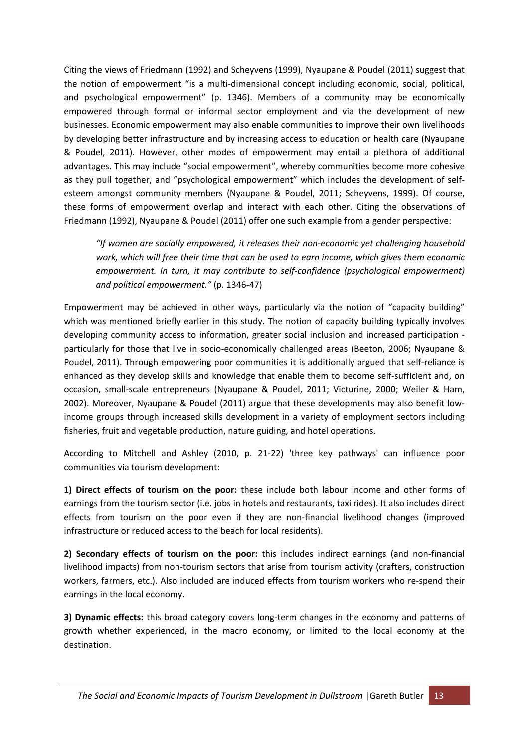Citing the views of Friedmann (1992) and Scheyvens (1999), Nyaupane & Poudel (2011) suggest that the notion of empowerment "is a multi-dimensional concept including economic, social, political, and psychological empowerment" (p. 1346). Members of a community may be economically empowered through formal or informal sector employment and via the development of new businesses. Economic empowerment may also enable communities to improve their own livelihoods by developing better infrastructure and by increasing access to education or health care (Nyaupane & Poudel, 2011). However, other modes of empowerment may entail a plethora of additional advantages. This may include "social empowerment", whereby communities become more cohesive as they pull together, and "psychological empowerment" which includes the development of self‐ esteem amongst community members (Nyaupane & Poudel, 2011; Scheyvens, 1999). Of course, these forms of empowerment overlap and interact with each other. Citing the observations of Friedmann (1992), Nyaupane & Poudel (2011) offer one such example from a gender perspective:

*"If women are socially empowered, it releases their non‐economic yet challenging household work, which will free their time that can be used to earn income, which gives them economic empowerment. In turn, it may contribute to self‐confidence (psychological empowerment) and political empowerment."* (p. 1346‐47)

Empowerment may be achieved in other ways, particularly via the notion of "capacity building" which was mentioned briefly earlier in this study. The notion of capacity building typically involves developing community access to information, greater social inclusion and increased participation ‐ particularly for those that live in socio‐economically challenged areas (Beeton, 2006; Nyaupane & Poudel, 2011). Through empowering poor communities it is additionally argued that self‐reliance is enhanced as they develop skills and knowledge that enable them to become self-sufficient and, on occasion, small‐scale entrepreneurs (Nyaupane & Poudel, 2011; Victurine, 2000; Weiler & Ham, 2002). Moreover, Nyaupane & Poudel (2011) argue that these developments may also benefit low‐ income groups through increased skills development in a variety of employment sectors including fisheries, fruit and vegetable production, nature guiding, and hotel operations.

According to Mitchell and Ashley (2010, p. 21‐22) 'three key pathways' can influence poor communities via tourism development:

**1) Direct effects of tourism on the poor:** these include both labour income and other forms of earnings from the tourism sector (i.e. jobs in hotels and restaurants, taxi rides). It also includes direct effects from tourism on the poor even if they are non-financial livelihood changes (improved infrastructure or reduced access to the beach for local residents).

**2) Secondary effects of tourism on the poor:** this includes indirect earnings (and non‐financial livelihood impacts) from non-tourism sectors that arise from tourism activity (crafters, construction workers, farmers, etc.). Also included are induced effects from tourism workers who re‐spend their earnings in the local economy.

**3) Dynamic effects:** this broad category covers long‐term changes in the economy and patterns of growth whether experienced, in the macro economy, or limited to the local economy at the destination.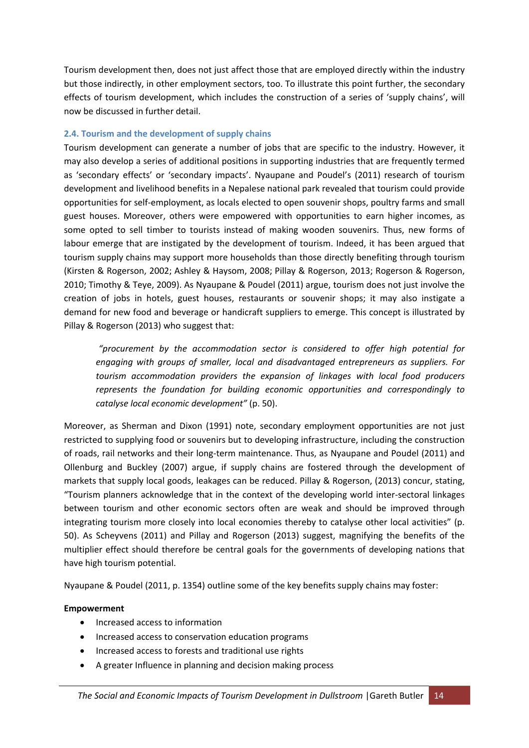Tourism development then, does not just affect those that are employed directly within the industry but those indirectly, in other employment sectors, too. To illustrate this point further, the secondary effects of tourism development, which includes the construction of a series of 'supply chains', will now be discussed in further detail.

## **2.4. Tourism and the development of supply chains**

Tourism development can generate a number of jobs that are specific to the industry. However, it may also develop a series of additional positions in supporting industries that are frequently termed as 'secondary effects' or 'secondary impacts'. Nyaupane and Poudel's (2011) research of tourism development and livelihood benefits in a Nepalese national park revealed that tourism could provide opportunities for self‐employment, as locals elected to open souvenir shops, poultry farms and small guest houses. Moreover, others were empowered with opportunities to earn higher incomes, as some opted to sell timber to tourists instead of making wooden souvenirs. Thus, new forms of labour emerge that are instigated by the development of tourism. Indeed, it has been argued that tourism supply chains may support more households than those directly benefiting through tourism (Kirsten & Rogerson, 2002; Ashley & Haysom, 2008; Pillay & Rogerson, 2013; Rogerson & Rogerson, 2010; Timothy & Teye, 2009). As Nyaupane & Poudel (2011) argue, tourism does not just involve the creation of jobs in hotels, guest houses, restaurants or souvenir shops; it may also instigate a demand for new food and beverage or handicraft suppliers to emerge. This concept is illustrated by Pillay & Rogerson (2013) who suggest that:

*"procurement by the accommodation sector is considered to offer high potential for engaging with groups of smaller, local and disadvantaged entrepreneurs as suppliers. For tourism accommodation providers the expansion of linkages with local food producers represents the foundation for building economic opportunities and correspondingly to catalyse local economic development"* (p. 50).

Moreover, as Sherman and Dixon (1991) note, secondary employment opportunities are not just restricted to supplying food or souvenirs but to developing infrastructure, including the construction of roads, rail networks and their long‐term maintenance. Thus, as Nyaupane and Poudel (2011) and Ollenburg and Buckley (2007) argue, if supply chains are fostered through the development of markets that supply local goods, leakages can be reduced. Pillay & Rogerson, (2013) concur, stating, "Tourism planners acknowledge that in the context of the developing world inter‐sectoral linkages between tourism and other economic sectors often are weak and should be improved through integrating tourism more closely into local economies thereby to catalyse other local activities" (p. 50). As Scheyvens (2011) and Pillay and Rogerson (2013) suggest, magnifying the benefits of the multiplier effect should therefore be central goals for the governments of developing nations that have high tourism potential.

Nyaupane & Poudel (2011, p. 1354) outline some of the key benefits supply chains may foster:

#### **Empowerment**

- Increased access to information
- Increased access to conservation education programs
- Increased access to forests and traditional use rights
- A greater Influence in planning and decision making process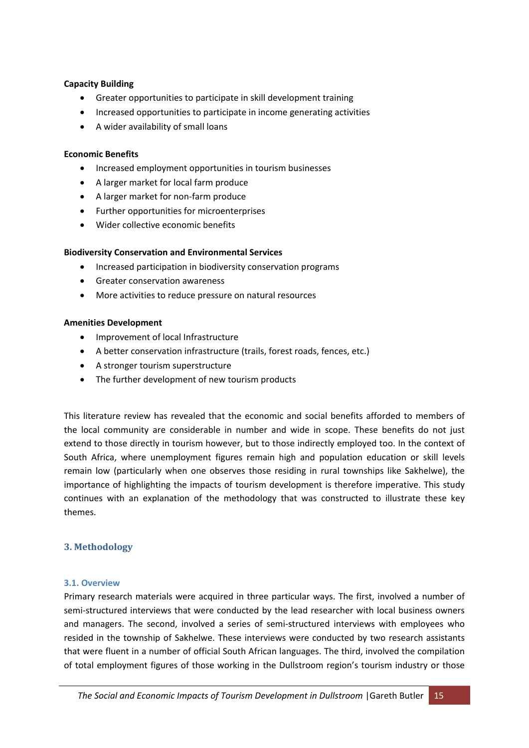#### **Capacity Building**

- Greater opportunities to participate in skill development training
- Increased opportunities to participate in income generating activities
- A wider availability of small loans

#### **Economic Benefits**

- Increased employment opportunities in tourism businesses
- A larger market for local farm produce
- A larger market for non-farm produce
- Further opportunities for microenterprises
- Wider collective economic benefits

#### **Biodiversity Conservation and Environmental Services**

- Increased participation in biodiversity conservation programs
- Greater conservation awareness
- More activities to reduce pressure on natural resources

#### **Amenities Development**

- Improvement of local Infrastructure
- A better conservation infrastructure (trails, forest roads, fences, etc.)
- A stronger tourism superstructure
- The further development of new tourism products

This literature review has revealed that the economic and social benefits afforded to members of the local community are considerable in number and wide in scope. These benefits do not just extend to those directly in tourism however, but to those indirectly employed too. In the context of South Africa, where unemployment figures remain high and population education or skill levels remain low (particularly when one observes those residing in rural townships like Sakhelwe), the importance of highlighting the impacts of tourism development is therefore imperative. This study continues with an explanation of the methodology that was constructed to illustrate these key themes.

#### **3. Methodology**

#### **3.1. Overview**

Primary research materials were acquired in three particular ways. The first, involved a number of semi-structured interviews that were conducted by the lead researcher with local business owners and managers. The second, involved a series of semi‐structured interviews with employees who resided in the township of Sakhelwe. These interviews were conducted by two research assistants that were fluent in a number of official South African languages. The third, involved the compilation of total employment figures of those working in the Dullstroom region's tourism industry or those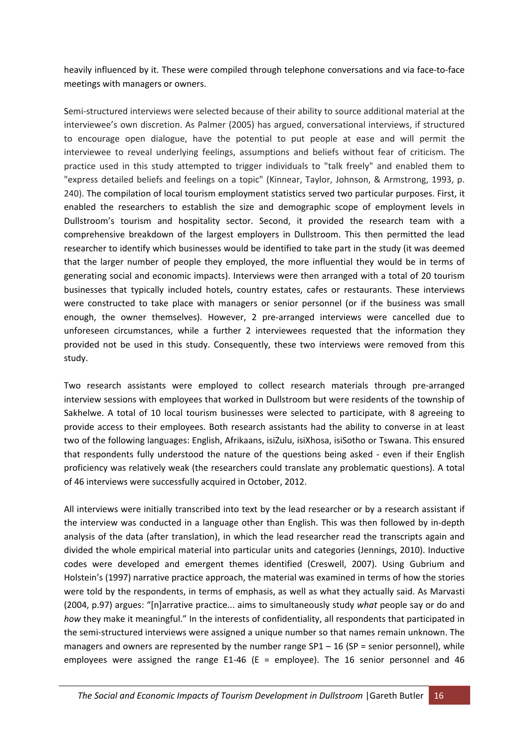heavily influenced by it. These were compiled through telephone conversations and via face-to-face meetings with managers or owners.

Semi-structured interviews were selected because of their ability to source additional material at the interviewee's own discretion. As Palmer (2005) has argued, conversational interviews, if structured to encourage open dialogue, have the potential to put people at ease and will permit the interviewee to reveal underlying feelings, assumptions and beliefs without fear of criticism. The practice used in this study attempted to trigger individuals to "talk freely" and enabled them to "express detailed beliefs and feelings on a topic" (Kinnear, Taylor, Johnson, & Armstrong, 1993, p. 240). The compilation of local tourism employment statistics served two particular purposes. First, it enabled the researchers to establish the size and demographic scope of employment levels in Dullstroom's tourism and hospitality sector. Second, it provided the research team with a comprehensive breakdown of the largest employers in Dullstroom. This then permitted the lead researcher to identify which businesses would be identified to take part in the study (it was deemed that the larger number of people they employed, the more influential they would be in terms of generating social and economic impacts). Interviews were then arranged with a total of 20 tourism businesses that typically included hotels, country estates, cafes or restaurants. These interviews were constructed to take place with managers or senior personnel (or if the business was small enough, the owner themselves). However, 2 pre-arranged interviews were cancelled due to unforeseen circumstances, while a further 2 interviewees requested that the information they provided not be used in this study. Consequently, these two interviews were removed from this study.

Two research assistants were employed to collect research materials through pre‐arranged interview sessions with employees that worked in Dullstroom but were residents of the township of Sakhelwe. A total of 10 local tourism businesses were selected to participate, with 8 agreeing to provide access to their employees. Both research assistants had the ability to converse in at least two of the following languages: English, Afrikaans, isiZulu, isiXhosa, isiSotho or Tswana. This ensured that respondents fully understood the nature of the questions being asked - even if their English proficiency was relatively weak (the researchers could translate any problematic questions). A total of 46 interviews were successfully acquired in October, 2012.

All interviews were initially transcribed into text by the lead researcher or by a research assistant if the interview was conducted in a language other than English. This was then followed by in‐depth analysis of the data (after translation), in which the lead researcher read the transcripts again and divided the whole empirical material into particular units and categories (Jennings, 2010). Inductive codes were developed and emergent themes identified (Creswell, 2007). Using Gubrium and Holstein's (1997) narrative practice approach, the material was examined in terms of how the stories were told by the respondents, in terms of emphasis, as well as what they actually said. As Marvasti (2004, p.97) argues: "[n]arrative practice... aims to simultaneously study *what* people say or do and *how* they make it meaningful." In the interests of confidentiality, all respondents that participated in the semi‐structured interviews were assigned a unique number so that names remain unknown. The managers and owners are represented by the number range  $SP1 - 16$  (SP = senior personnel), while employees were assigned the range E1-46 (E = employee). The 16 senior personnel and 46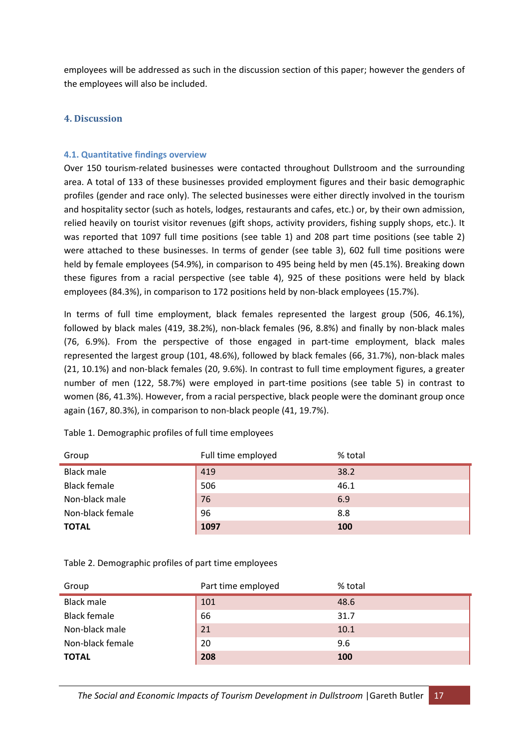employees will be addressed as such in the discussion section of this paper; however the genders of the employees will also be included.

#### **4. Discussion**

#### **4.1. Quantitative findings overview**

Over 150 tourism-related businesses were contacted throughout Dullstroom and the surrounding area. A total of 133 of these businesses provided employment figures and their basic demographic profiles (gender and race only). The selected businesses were either directly involved in the tourism and hospitality sector (such as hotels, lodges, restaurants and cafes, etc.) or, by their own admission, relied heavily on tourist visitor revenues (gift shops, activity providers, fishing supply shops, etc.). It was reported that 1097 full time positions (see table 1) and 208 part time positions (see table 2) were attached to these businesses. In terms of gender (see table 3), 602 full time positions were held by female employees (54.9%), in comparison to 495 being held by men (45.1%). Breaking down these figures from a racial perspective (see table 4), 925 of these positions were held by black employees (84.3%), in comparison to 172 positions held by non-black employees (15.7%).

In terms of full time employment, black females represented the largest group (506, 46.1%), followed by black males (419, 38.2%), non‐black females (96, 8.8%) and finally by non‐black males (76, 6.9%). From the perspective of those engaged in part‐time employment, black males represented the largest group (101, 48.6%), followed by black females (66, 31.7%), non‐black males (21, 10.1%) and non‐black females (20, 9.6%). In contrast to full time employment figures, a greater number of men (122, 58.7%) were employed in part-time positions (see table 5) in contrast to women (86, 41.3%). However, from a racial perspective, black people were the dominant group once again (167, 80.3%), in comparison to non‐black people (41, 19.7%).

| Group               | Full time employed | % total |
|---------------------|--------------------|---------|
| Black male          | 419                | 38.2    |
| <b>Black female</b> | 506                | 46.1    |
| Non-black male      | 76                 | 6.9     |
| Non-black female    | 96                 | 8.8     |
| <b>TOTAL</b>        | 1097               | 100     |

Table 1. Demographic profiles of full time employees

Table 2. Demographic profiles of part time employees

| Group               | Part time employed | % total |
|---------------------|--------------------|---------|
| <b>Black male</b>   | 101                | 48.6    |
| <b>Black female</b> | 66                 | 31.7    |
| Non-black male      | 21                 | 10.1    |
| Non-black female    | 20                 | 9.6     |
| <b>TOTAL</b>        | 208                | 100     |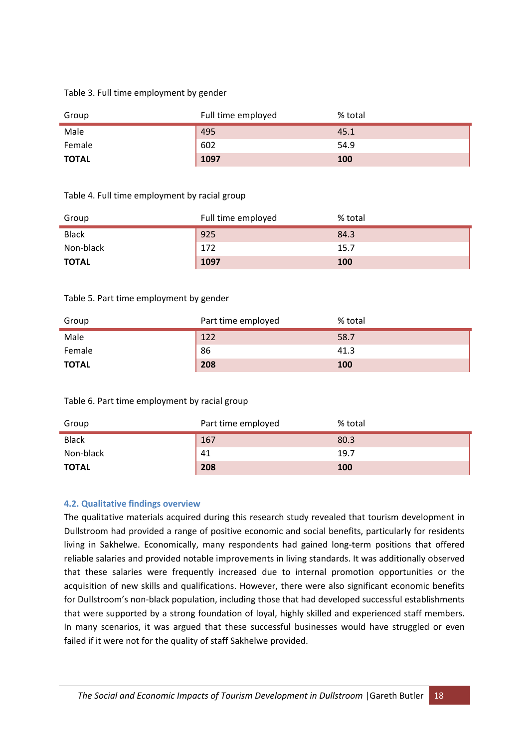#### Table 3. Full time employment by gender

| Group        | Full time employed | % total |
|--------------|--------------------|---------|
| Male         | 495                | 45.1    |
| Female       | 602                | 54.9    |
| <b>TOTAL</b> | 1097               | 100     |

#### Table 4. Full time employment by racial group

| Group        | Full time employed | % total |
|--------------|--------------------|---------|
| <b>Black</b> | 925                | 84.3    |
| Non-black    | 172                | 15.7    |
| <b>TOTAL</b> | 1097               | 100     |

#### Table 5. Part time employment by gender

| Group        | Part time employed | % total |
|--------------|--------------------|---------|
| Male         | 122                | 58.7    |
| Female       | 86                 | 41.3    |
| <b>TOTAL</b> | 208                | 100     |

#### Table 6. Part time employment by racial group

| Group        | Part time employed | % total |
|--------------|--------------------|---------|
| <b>Black</b> | 167                | 80.3    |
| Non-black    | 41                 | 19.7    |
| <b>TOTAL</b> | 208                | 100     |

#### **4.2. Qualitative findings overview**

The qualitative materials acquired during this research study revealed that tourism development in Dullstroom had provided a range of positive economic and social benefits, particularly for residents living in Sakhelwe. Economically, many respondents had gained long-term positions that offered reliable salaries and provided notable improvements in living standards. It was additionally observed that these salaries were frequently increased due to internal promotion opportunities or the acquisition of new skills and qualifications. However, there were also significant economic benefits for Dullstroom's non-black population, including those that had developed successful establishments that were supported by a strong foundation of loyal, highly skilled and experienced staff members. In many scenarios, it was argued that these successful businesses would have struggled or even failed if it were not for the quality of staff Sakhelwe provided.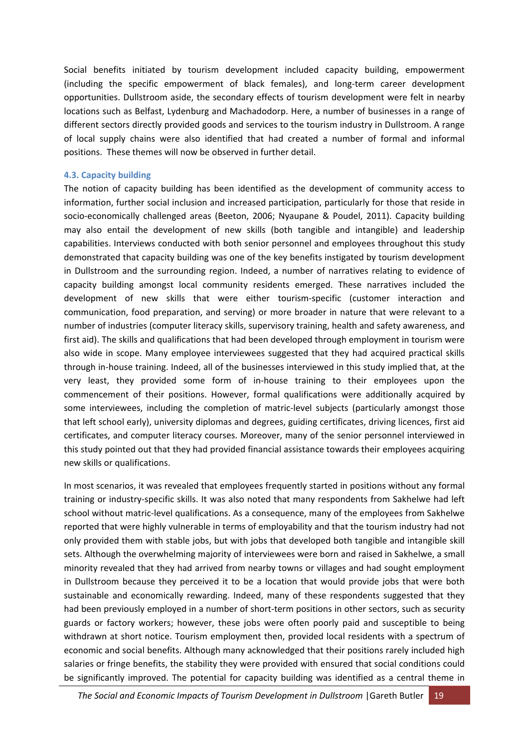Social benefits initiated by tourism development included capacity building, empowerment (including the specific empowerment of black females), and long‐term career development opportunities. Dullstroom aside, the secondary effects of tourism development were felt in nearby locations such as Belfast, Lydenburg and Machadodorp. Here, a number of businesses in a range of different sectors directly provided goods and services to the tourism industry in Dullstroom. A range of local supply chains were also identified that had created a number of formal and informal positions. These themes will now be observed in further detail.

#### **4.3. Capacity building**

The notion of capacity building has been identified as the development of community access to information, further social inclusion and increased participation, particularly for those that reside in socio-economically challenged areas (Beeton, 2006; Nyaupane & Poudel, 2011). Capacity building may also entail the development of new skills (both tangible and intangible) and leadership capabilities. Interviews conducted with both senior personnel and employees throughout this study demonstrated that capacity building was one of the key benefits instigated by tourism development in Dullstroom and the surrounding region. Indeed, a number of narratives relating to evidence of capacity building amongst local community residents emerged. These narratives included the development of new skills that were either tourism‐specific (customer interaction and communication, food preparation, and serving) or more broader in nature that were relevant to a number of industries (computer literacy skills, supervisory training, health and safety awareness, and first aid). The skills and qualifications that had been developed through employment in tourism were also wide in scope. Many employee interviewees suggested that they had acquired practical skills through in‐house training. Indeed, all of the businesses interviewed in this study implied that, at the very least, they provided some form of in‐house training to their employees upon the commencement of their positions. However, formal qualifications were additionally acquired by some interviewees, including the completion of matric-level subjects (particularly amongst those that left school early), university diplomas and degrees, guiding certificates, driving licences, first aid certificates, and computer literacy courses. Moreover, many of the senior personnel interviewed in this study pointed out that they had provided financial assistance towards their employees acquiring new skills or qualifications.

In most scenarios, it was revealed that employees frequently started in positions without any formal training or industry‐specific skills. It was also noted that many respondents from Sakhelwe had left school without matric‐level qualifications. As a consequence, many of the employees from Sakhelwe reported that were highly vulnerable in terms of employability and that the tourism industry had not only provided them with stable jobs, but with jobs that developed both tangible and intangible skill sets. Although the overwhelming majority of interviewees were born and raised in Sakhelwe, a small minority revealed that they had arrived from nearby towns or villages and had sought employment in Dullstroom because they perceived it to be a location that would provide jobs that were both sustainable and economically rewarding. Indeed, many of these respondents suggested that they had been previously employed in a number of short-term positions in other sectors, such as security guards or factory workers; however, these jobs were often poorly paid and susceptible to being withdrawn at short notice. Tourism employment then, provided local residents with a spectrum of economic and social benefits. Although many acknowledged that their positions rarely included high salaries or fringe benefits, the stability they were provided with ensured that social conditions could be significantly improved. The potential for capacity building was identified as a central theme in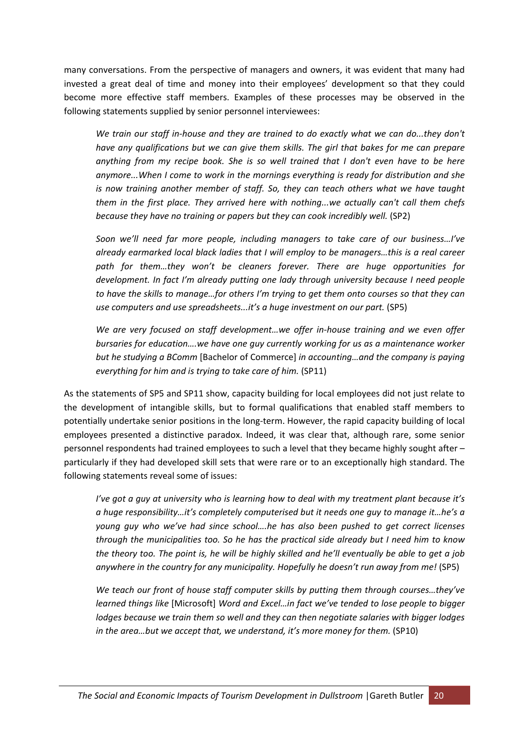many conversations. From the perspective of managers and owners, it was evident that many had invested a great deal of time and money into their employees' development so that they could become more effective staff members. Examples of these processes may be observed in the following statements supplied by senior personnel interviewees:

*We train our staff in‐house and they are trained to do exactly what we can do...they don't have any qualifications but we can give them skills. The girl that bakes for me can prepare anything from my recipe book. She is so well trained that I don't even have to be here anymore...When I come to work in the mornings everything is ready for distribution and she is now training another member of staff. So, they can teach others what we have taught them in the first place. They arrived here with nothing...we actually can't call them chefs because they have no training or papers but they can cook incredibly well.* (SP2)

*Soon we'll need far more people, including managers to take care of our business…I've already earmarked local black ladies that I will employ to be managers…this is a real career path for them…they won't be cleaners forever. There are huge opportunities for development. In fact I'm already putting one lady through university because I need people to have the skills to manage…for others I'm trying to get them onto courses so that they can use computers and use spreadsheets...it's a huge investment on our part.* (SP5)

*We are very focused on staff development…we offer in‐house training and we even offer bursaries for education….we have one guy currently working for us as a maintenance worker but he studying a BComm* [Bachelor of Commerce] *in accounting…and the company is paying everything for him and is trying to take care of him.* (SP11)

As the statements of SP5 and SP11 show, capacity building for local employees did not just relate to the development of intangible skills, but to formal qualifications that enabled staff members to potentially undertake senior positions in the long‐term. However, the rapid capacity building of local employees presented a distinctive paradox. Indeed, it was clear that, although rare, some senior personnel respondents had trained employees to such a level that they became highly sought after – particularly if they had developed skill sets that were rare or to an exceptionally high standard. The following statements reveal some of issues:

*I've got a guy at university who is learning how to deal with my treatment plant because it's a huge responsibility…it's completely computerised but it needs one guy to manage it…he's a young guy who we've had since school….he has also been pushed to get correct licenses through the municipalities too. So he has the practical side already but I need him to know* the theory too. The point is, he will be highly skilled and he'll eventually be able to get a job *anywhere in the country for any municipality. Hopefully he doesn't run away from me!* (SP5)

*We teach our front of house staff computer skills by putting them through courses…they've learned things like* [Microsoft] *Word and Excel…in fact we've tended to lose people to bigger lodges because we train them so well and they can then negotiate salaries with bigger lodges in the area…but we accept that, we understand, it's more money for them.* (SP10)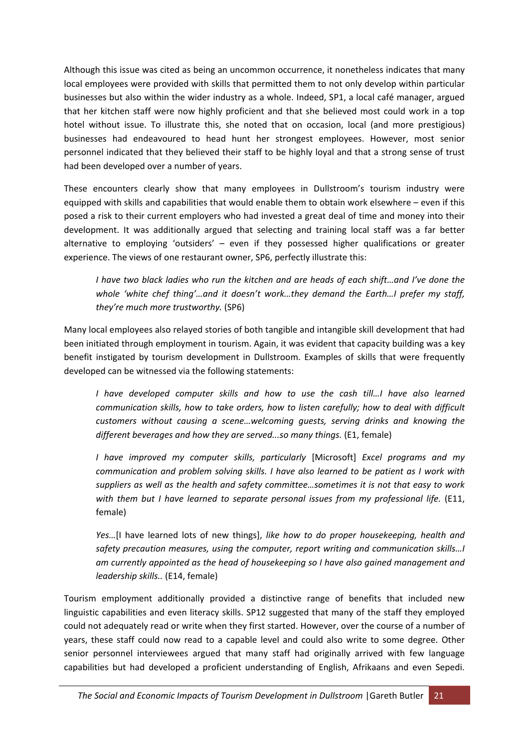Although this issue was cited as being an uncommon occurrence, it nonetheless indicates that many local employees were provided with skills that permitted them to not only develop within particular businesses but also within the wider industry as a whole. Indeed, SP1, a local café manager, argued that her kitchen staff were now highly proficient and that she believed most could work in a top hotel without issue. To illustrate this, she noted that on occasion, local (and more prestigious) businesses had endeavoured to head hunt her strongest employees. However, most senior personnel indicated that they believed their staff to be highly loyal and that a strong sense of trust had been developed over a number of years.

These encounters clearly show that many employees in Dullstroom's tourism industry were equipped with skills and capabilities that would enable them to obtain work elsewhere – even if this posed a risk to their current employers who had invested a great deal of time and money into their development. It was additionally argued that selecting and training local staff was a far better alternative to employing 'outsiders' – even if they possessed higher qualifications or greater experience. The views of one restaurant owner, SP6, perfectly illustrate this:

*I have two black ladies who run the kitchen and are heads of each shift…and I've done the whole 'white chef thing'…and it doesn't work…they demand the Earth…I prefer my staff, they're much more trustworthy.* (SP6)

Many local employees also relayed stories of both tangible and intangible skill development that had been initiated through employment in tourism. Again, it was evident that capacity building was a key benefit instigated by tourism development in Dullstroom. Examples of skills that were frequently developed can be witnessed via the following statements:

*I have developed computer skills and how to use the cash till…I have also learned communication skills, how to take orders, how to listen carefully; how to deal with difficult customers without causing a scene…welcoming guests, serving drinks and knowing the different beverages and how they are served...so many things.* (E1, female)

*I have improved my computer skills, particularly* [Microsoft] *Excel programs and my communication and problem solving skills. I have also learned to be patient as I work with suppliers as well as the health and safety committee…sometimes it is not that easy to work with them but I have learned to separate personal issues from my professional life.* (E11, female)

*Yes…*[I have learned lots of new things], *like how to do proper housekeeping, health and safety precaution measures, using the computer, report writing and communication skills…I am currently appointed as the head of housekeeping so I have also gained management and leadership skills..* (E14, female)

Tourism employment additionally provided a distinctive range of benefits that included new linguistic capabilities and even literacy skills. SP12 suggested that many of the staff they employed could not adequately read or write when they first started. However, over the course of a number of years, these staff could now read to a capable level and could also write to some degree. Other senior personnel interviewees argued that many staff had originally arrived with few language capabilities but had developed a proficient understanding of English, Afrikaans and even Sepedi.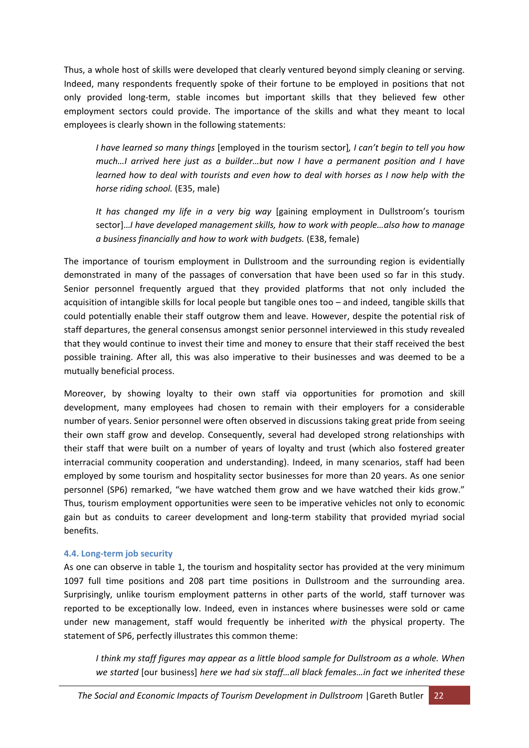Thus, a whole host of skills were developed that clearly ventured beyond simply cleaning or serving. Indeed, many respondents frequently spoke of their fortune to be employed in positions that not only provided long‐term, stable incomes but important skills that they believed few other employment sectors could provide. The importance of the skills and what they meant to local employees is clearly shown in the following statements:

*I have learned so many things* [employed in the tourism sector]*, I can't begin to tell you how much…I arrived here just as a builder…but now I have a permanent position and I have learned how to deal with tourists and even how to deal with horses as I now help with the horse riding school.* (E35, male)

*It has changed my life in a very big way* [gaining employment in Dullstroom's tourism sector]…*I have developed management skills, how to work with people…also how to manage a business financially and how to work with budgets.* (E38, female)

The importance of tourism employment in Dullstroom and the surrounding region is evidentially demonstrated in many of the passages of conversation that have been used so far in this study. Senior personnel frequently argued that they provided platforms that not only included the acquisition of intangible skills for local people but tangible ones too – and indeed, tangible skills that could potentially enable their staff outgrow them and leave. However, despite the potential risk of staff departures, the general consensus amongst senior personnel interviewed in this study revealed that they would continue to invest their time and money to ensure that their staff received the best possible training. After all, this was also imperative to their businesses and was deemed to be a mutually beneficial process.

Moreover, by showing loyalty to their own staff via opportunities for promotion and skill development, many employees had chosen to remain with their employers for a considerable number of years. Senior personnel were often observed in discussions taking great pride from seeing their own staff grow and develop. Consequently, several had developed strong relationships with their staff that were built on a number of years of loyalty and trust (which also fostered greater interracial community cooperation and understanding). Indeed, in many scenarios, staff had been employed by some tourism and hospitality sector businesses for more than 20 years. As one senior personnel (SP6) remarked, "we have watched them grow and we have watched their kids grow." Thus, tourism employment opportunities were seen to be imperative vehicles not only to economic gain but as conduits to career development and long‐term stability that provided myriad social benefits.

#### **4.4. Long‐term job security**

As one can observe in table 1, the tourism and hospitality sector has provided at the very minimum 1097 full time positions and 208 part time positions in Dullstroom and the surrounding area. Surprisingly, unlike tourism employment patterns in other parts of the world, staff turnover was reported to be exceptionally low. Indeed, even in instances where businesses were sold or came under new management, staff would frequently be inherited *with* the physical property. The statement of SP6, perfectly illustrates this common theme:

*I think my staff figures may appear as a little blood sample for Dullstroom as a whole. When we started* [our business] *here we had six staff…all black females…in fact we inherited these*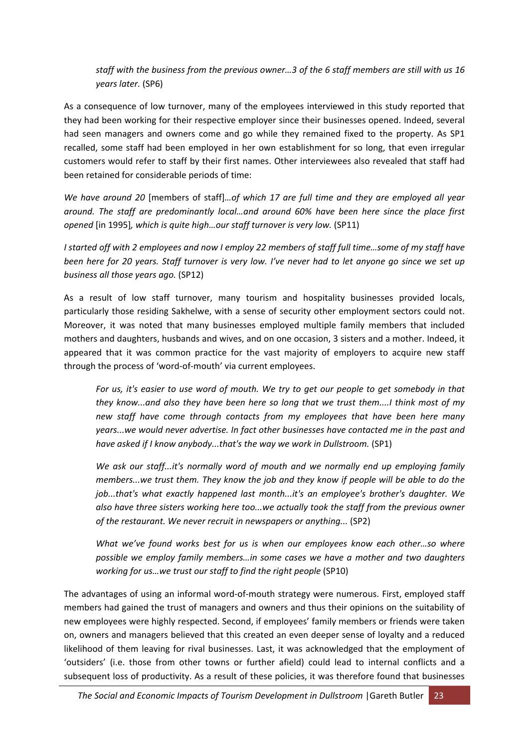*staff with the business from the previous owner…3 of the 6 staff members are still with us 16 years later.* (SP6)

As a consequence of low turnover, many of the employees interviewed in this study reported that they had been working for their respective employer since their businesses opened. Indeed, several had seen managers and owners come and go while they remained fixed to the property. As SP1 recalled, some staff had been employed in her own establishment for so long, that even irregular customers would refer to staff by their first names. Other interviewees also revealed that staff had been retained for considerable periods of time:

*We have around 20* [members of staff]*…of which 17 are full time and they are employed all year around. The staff are predominantly local…and around 60% have been here since the place first opened* [in 1995]*, which is quite high…our staff turnover is very low.* (SP11)

I started off with 2 employees and now I employ 22 members of staff full time...some of my staff have been here for 20 years. Staff turnover is very low. I've never had to let anyone go since we set up *business all those years ago.* (SP12)

As a result of low staff turnover, many tourism and hospitality businesses provided locals, particularly those residing Sakhelwe, with a sense of security other employment sectors could not. Moreover, it was noted that many businesses employed multiple family members that included mothers and daughters, husbands and wives, and on one occasion, 3 sisters and a mother. Indeed, it appeared that it was common practice for the vast majority of employers to acquire new staff through the process of 'word‐of‐mouth' via current employees.

For us, it's easier to use word of mouth. We try to get our people to get somebody in that *they know...and also they have been here so long that we trust them....I think most of my new staff have come through contacts from my employees that have been here many years...we would never advertise. In fact other businesses have contacted me in the past and have asked if I know anybody...that's the way we work in Dullstroom.* (SP1)

*We ask our staff...it's normally word of mouth and we normally end up employing family members...we trust them. They know the job and they know if people will be able to do the job...that's what exactly happened last month...it's an employee's brother's daughter. We also have three sisters working here too...we actually took the staff from the previous owner of the restaurant. We never recruit in newspapers or anything...* (SP2)

*What we've found works best for us is when our employees know each other…so where possible we employ family members…in some cases we have a mother and two daughters working for us…we trust our staff to find the right people* (SP10)

The advantages of using an informal word‐of‐mouth strategy were numerous. First, employed staff members had gained the trust of managers and owners and thus their opinions on the suitability of new employees were highly respected. Second, if employees' family members or friends were taken on, owners and managers believed that this created an even deeper sense of loyalty and a reduced likelihood of them leaving for rival businesses. Last, it was acknowledged that the employment of 'outsiders' (i.e. those from other towns or further afield) could lead to internal conflicts and a subsequent loss of productivity. As a result of these policies, it was therefore found that businesses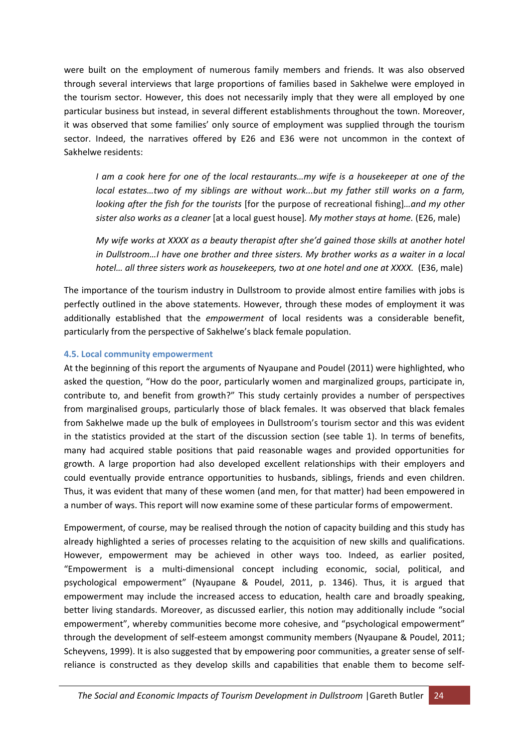were built on the employment of numerous family members and friends. It was also observed through several interviews that large proportions of families based in Sakhelwe were employed in the tourism sector. However, this does not necessarily imply that they were all employed by one particular business but instead, in several different establishments throughout the town. Moreover, it was observed that some families' only source of employment was supplied through the tourism sector. Indeed, the narratives offered by E26 and E36 were not uncommon in the context of Sakhelwe residents:

*I am a cook here for one of the local restaurants…my wife is a housekeeper at one of the local estates…two of my siblings are without work...but my father still works on a farm, looking after the fish for the tourists* [for the purpose of recreational fishing]*…and my other sister also works as a cleaner* [at a local guest house]*. My mother stays at home.* (E26, male)

*My wife works at XXXX as a beauty therapist after she'd gained those skills at another hotel in Dullstroom…I have one brother and three sisters. My brother works as a waiter in a local hotel… all three sisters work as housekeepers, two at one hotel and one at XXXX.* (E36, male)

The importance of the tourism industry in Dullstroom to provide almost entire families with jobs is perfectly outlined in the above statements. However, through these modes of employment it was additionally established that the *empowerment* of local residents was a considerable benefit, particularly from the perspective of Sakhelwe's black female population.

#### **4.5. Local community empowerment**

At the beginning of this report the arguments of Nyaupane and Poudel (2011) were highlighted, who asked the question, "How do the poor, particularly women and marginalized groups, participate in, contribute to, and benefit from growth?" This study certainly provides a number of perspectives from marginalised groups, particularly those of black females. It was observed that black females from Sakhelwe made up the bulk of employees in Dullstroom's tourism sector and this was evident in the statistics provided at the start of the discussion section (see table 1). In terms of benefits, many had acquired stable positions that paid reasonable wages and provided opportunities for growth. A large proportion had also developed excellent relationships with their employers and could eventually provide entrance opportunities to husbands, siblings, friends and even children. Thus, it was evident that many of these women (and men, for that matter) had been empowered in a number of ways. This report will now examine some of these particular forms of empowerment.

Empowerment, of course, may be realised through the notion of capacity building and this study has already highlighted a series of processes relating to the acquisition of new skills and qualifications. However, empowerment may be achieved in other ways too. Indeed, as earlier posited, "Empowerment is a multi‐dimensional concept including economic, social, political, and psychological empowerment" (Nyaupane & Poudel, 2011, p. 1346). Thus, it is argued that empowerment may include the increased access to education, health care and broadly speaking, better living standards. Moreover, as discussed earlier, this notion may additionally include "social empowerment", whereby communities become more cohesive, and "psychological empowerment" through the development of self‐esteem amongst community members (Nyaupane & Poudel, 2011; Scheyvens, 1999). It is also suggested that by empowering poor communities, a greater sense of self‐ reliance is constructed as they develop skills and capabilities that enable them to become self‐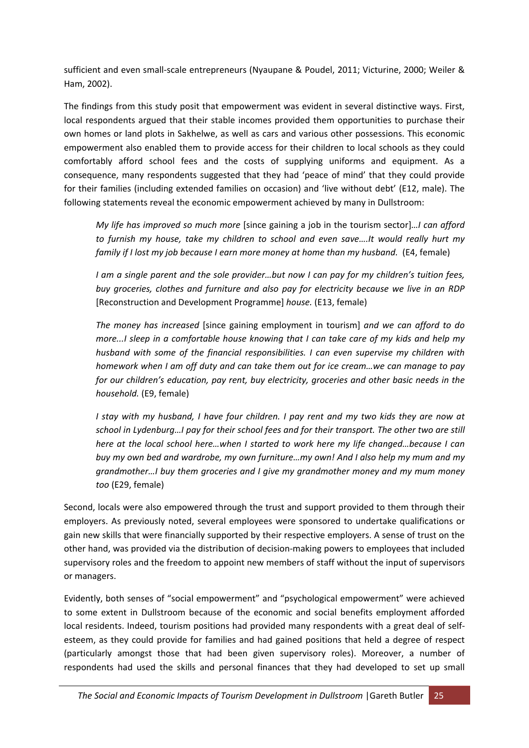sufficient and even small-scale entrepreneurs (Nyaupane & Poudel, 2011; Victurine, 2000; Weiler & Ham, 2002).

The findings from this study posit that empowerment was evident in several distinctive ways. First, local respondents argued that their stable incomes provided them opportunities to purchase their own homes or land plots in Sakhelwe, as well as cars and various other possessions. This economic empowerment also enabled them to provide access for their children to local schools as they could comfortably afford school fees and the costs of supplying uniforms and equipment. As a consequence, many respondents suggested that they had 'peace of mind' that they could provide for their families (including extended families on occasion) and 'live without debt' (E12, male). The following statements reveal the economic empowerment achieved by many in Dullstroom:

*My life has improved so much more* [since gaining a job in the tourism sector]*…I can afford to furnish my house, take my children to school and even save….It would really hurt my family if I lost my job because I earn more money at home than my husband.* (E4, female)

*I am a single parent and the sole provider…but now I can pay for my children's tuition fees, buy groceries, clothes and furniture and also pay for electricity because we live in an RDP* [Reconstruction and Development Programme] *house.* (E13, female)

*The money has increased* [since gaining employment in tourism] *and we can afford to do more...I sleep in a comfortable house knowing that I can take care of my kids and help my husband with some of the financial responsibilities. I can even supervise my children with homework when I am off duty and can take them out for ice cream…we can manage to pay for our children's education, pay rent, buy electricity, groceries and other basic needs in the household.* (E9, female)

I stay with my husband, I have four children. I pay rent and my two kids they are now at *school in Lydenburg…I pay for their school fees and for their transport. The other two are still here at the local school here…when I started to work here my life changed…because I can buy my own bed and wardrobe, my own furniture…my own! And I also help my mum and my grandmother…I buy them groceries and I give my grandmother money and my mum money too* (E29, female)

Second, locals were also empowered through the trust and support provided to them through their employers. As previously noted, several employees were sponsored to undertake qualifications or gain new skills that were financially supported by their respective employers. A sense of trust on the other hand, was provided via the distribution of decision‐making powers to employees that included supervisory roles and the freedom to appoint new members of staff without the input of supervisors or managers.

Evidently, both senses of "social empowerment" and "psychological empowerment" were achieved to some extent in Dullstroom because of the economic and social benefits employment afforded local residents. Indeed, tourism positions had provided many respondents with a great deal of selfesteem, as they could provide for families and had gained positions that held a degree of respect (particularly amongst those that had been given supervisory roles). Moreover, a number of respondents had used the skills and personal finances that they had developed to set up small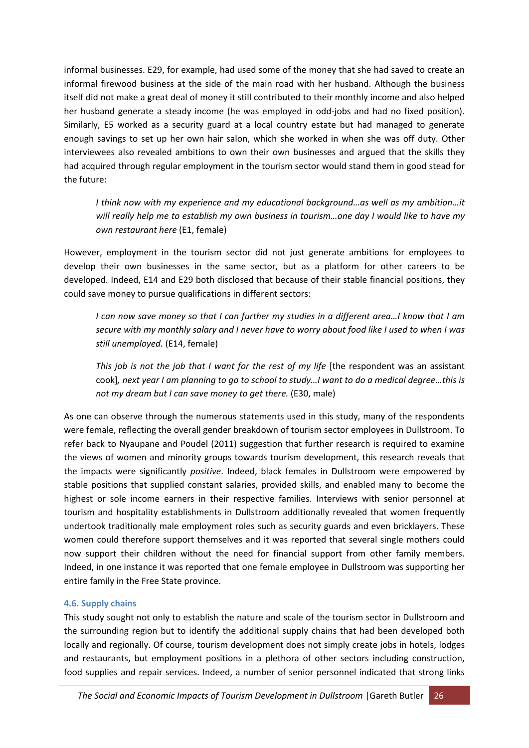informal businesses. E29, for example, had used some of the money that she had saved to create an informal firewood business at the side of the main road with her husband. Although the business itself did not make a great deal of money it still contributed to their monthly income and also helped her husband generate a steady income (he was employed in odd-jobs and had no fixed position). Similarly, E5 worked as a security guard at a local country estate but had managed to generate enough savings to set up her own hair salon, which she worked in when she was off duty. Other interviewees also revealed ambitions to own their own businesses and argued that the skills they had acquired through regular employment in the tourism sector would stand them in good stead for the future:

*I think now with my experience and my educational background…as well as my ambition…it will really help me to establish my own business in tourism…one day I would like to have my own restaurant here* (E1, female)

However, employment in the tourism sector did not just generate ambitions for employees to develop their own businesses in the same sector, but as a platform for other careers to be developed. Indeed, E14 and E29 both disclosed that because of their stable financial positions, they could save money to pursue qualifications in different sectors:

I can now save money so that I can further my studies in a different area...I know that I am secure with my monthly salary and I never have to worry about food like I used to when I was *still unemployed.* (E14, female)

*This job is not the job that I want for the rest of my life* [the respondent was an assistant cook], next year I am planning to go to school to study...I want to do a medical degree...this is *not my dream but I can save money to get there.* (E30, male)

As one can observe through the numerous statements used in this study, many of the respondents were female, reflecting the overall gender breakdown of tourism sector employees in Dullstroom. To refer back to Nyaupane and Poudel (2011) suggestion that further research is required to examine the views of women and minority groups towards tourism development, this research reveals that the impacts were significantly *positive*. Indeed, black females in Dullstroom were empowered by stable positions that supplied constant salaries, provided skills, and enabled many to become the highest or sole income earners in their respective families. Interviews with senior personnel at tourism and hospitality establishments in Dullstroom additionally revealed that women frequently undertook traditionally male employment roles such as security guards and even bricklayers. These women could therefore support themselves and it was reported that several single mothers could now support their children without the need for financial support from other family members. Indeed, in one instance it was reported that one female employee in Dullstroom was supporting her entire family in the Free State province.

# **4.6. Supply chains**

This study sought not only to establish the nature and scale of the tourism sector in Dullstroom and the surrounding region but to identify the additional supply chains that had been developed both locally and regionally. Of course, tourism development does not simply create jobs in hotels, lodges and restaurants, but employment positions in a plethora of other sectors including construction, food supplies and repair services. Indeed, a number of senior personnel indicated that strong links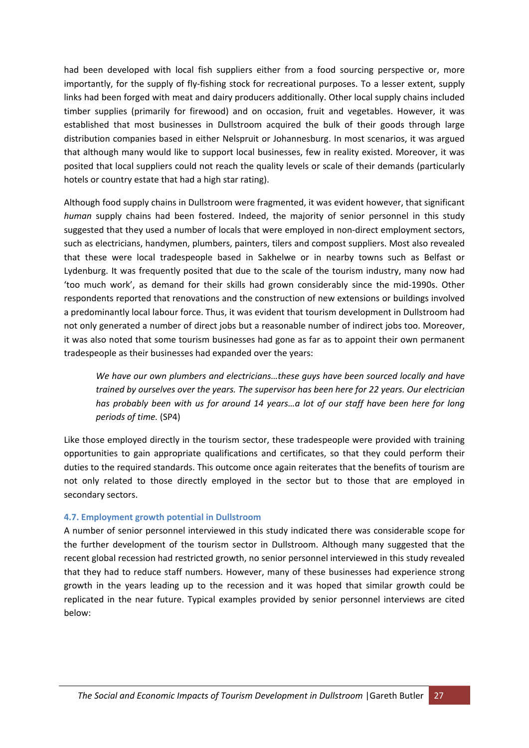had been developed with local fish suppliers either from a food sourcing perspective or, more importantly, for the supply of fly‐fishing stock for recreational purposes. To a lesser extent, supply links had been forged with meat and dairy producers additionally. Other local supply chains included timber supplies (primarily for firewood) and on occasion, fruit and vegetables. However, it was established that most businesses in Dullstroom acquired the bulk of their goods through large distribution companies based in either Nelspruit or Johannesburg. In most scenarios, it was argued that although many would like to support local businesses, few in reality existed. Moreover, it was posited that local suppliers could not reach the quality levels or scale of their demands (particularly hotels or country estate that had a high star rating).

Although food supply chains in Dullstroom were fragmented, it was evident however, that significant *human* supply chains had been fostered. Indeed, the majority of senior personnel in this study suggested that they used a number of locals that were employed in non-direct employment sectors, such as electricians, handymen, plumbers, painters, tilers and compost suppliers. Most also revealed that these were local tradespeople based in Sakhelwe or in nearby towns such as Belfast or Lydenburg. It was frequently posited that due to the scale of the tourism industry, many now had 'too much work', as demand for their skills had grown considerably since the mid‐1990s. Other respondents reported that renovations and the construction of new extensions or buildings involved a predominantly local labour force. Thus, it was evident that tourism development in Dullstroom had not only generated a number of direct jobs but a reasonable number of indirect jobs too. Moreover, it was also noted that some tourism businesses had gone as far as to appoint their own permanent tradespeople as their businesses had expanded over the years:

*We have our own plumbers and electricians…these guys have been sourced locally and have trained by ourselves over the years. The supervisor has been here for 22 years. Our electrician has probably been with us for around 14 years…a lot of our staff have been here for long periods of time.* (SP4)

Like those employed directly in the tourism sector, these tradespeople were provided with training opportunities to gain appropriate qualifications and certificates, so that they could perform their duties to the required standards. This outcome once again reiterates that the benefits of tourism are not only related to those directly employed in the sector but to those that are employed in secondary sectors.

#### **4.7. Employment growth potential in Dullstroom**

A number of senior personnel interviewed in this study indicated there was considerable scope for the further development of the tourism sector in Dullstroom. Although many suggested that the recent global recession had restricted growth, no senior personnel interviewed in this study revealed that they had to reduce staff numbers. However, many of these businesses had experience strong growth in the years leading up to the recession and it was hoped that similar growth could be replicated in the near future. Typical examples provided by senior personnel interviews are cited below: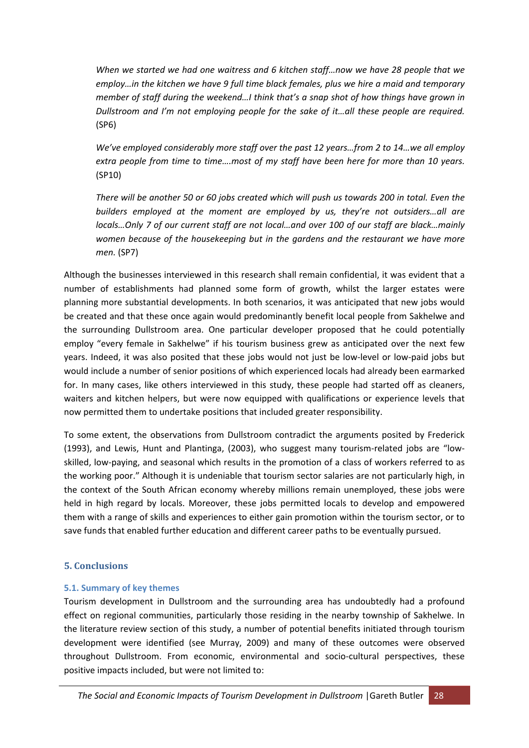*When we started we had one waitress and 6 kitchen staff…now we have 28 people that we employ…in the kitchen we have 9 full time black females, plus we hire a maid and temporary member of staff during the weekend…I think that's a snap shot of how things have grown in Dullstroom and I'm not employing people for the sake of it…all these people are required.* (SP6)

*We've employed considerably more staff over the past 12 years…from 2 to 14…we all employ extra people from time to time….most of my staff have been here for more than 10 years.* (SP10)

There will be another 50 or 60 jobs created which will push us towards 200 in total. Even the *builders employed at the moment are employed by us, they're not outsiders…all are locals…Only 7 of our current staff are not local…and over 100 of our staff are black…mainly women because of the housekeeping but in the gardens and the restaurant we have more men.* (SP7)

Although the businesses interviewed in this research shall remain confidential, it was evident that a number of establishments had planned some form of growth, whilst the larger estates were planning more substantial developments. In both scenarios, it was anticipated that new jobs would be created and that these once again would predominantly benefit local people from Sakhelwe and the surrounding Dullstroom area. One particular developer proposed that he could potentially employ "every female in Sakhelwe" if his tourism business grew as anticipated over the next few years. Indeed, it was also posited that these jobs would not just be low‐level or low‐paid jobs but would include a number of senior positions of which experienced locals had already been earmarked for. In many cases, like others interviewed in this study, these people had started off as cleaners, waiters and kitchen helpers, but were now equipped with qualifications or experience levels that now permitted them to undertake positions that included greater responsibility.

To some extent, the observations from Dullstroom contradict the arguments posited by Frederick (1993), and Lewis, Hunt and Plantinga, (2003), who suggest many tourism‐related jobs are "low‐ skilled, low-paying, and seasonal which results in the promotion of a class of workers referred to as the working poor." Although it is undeniable that tourism sector salaries are not particularly high, in the context of the South African economy whereby millions remain unemployed, these jobs were held in high regard by locals. Moreover, these jobs permitted locals to develop and empowered them with a range of skills and experiences to either gain promotion within the tourism sector, or to save funds that enabled further education and different career paths to be eventually pursued.

# **5. Conclusions**

# **5.1. Summary of key themes**

Tourism development in Dullstroom and the surrounding area has undoubtedly had a profound effect on regional communities, particularly those residing in the nearby township of Sakhelwe. In the literature review section of this study, a number of potential benefits initiated through tourism development were identified (see Murray, 2009) and many of these outcomes were observed throughout Dullstroom. From economic, environmental and socio-cultural perspectives, these positive impacts included, but were not limited to: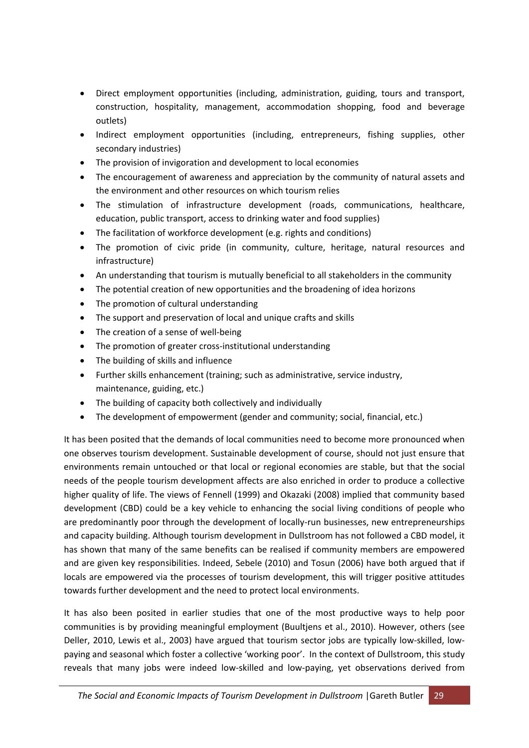- Direct employment opportunities (including, administration, guiding, tours and transport, construction, hospitality, management, accommodation shopping, food and beverage outlets)
- Indirect employment opportunities (including, entrepreneurs, fishing supplies, other secondary industries)
- The provision of invigoration and development to local economies
- The encouragement of awareness and appreciation by the community of natural assets and the environment and other resources on which tourism relies
- The stimulation of infrastructure development (roads, communications, healthcare, education, public transport, access to drinking water and food supplies)
- The facilitation of workforce development (e.g. rights and conditions)
- The promotion of civic pride (in community, culture, heritage, natural resources and infrastructure)
- An understanding that tourism is mutually beneficial to all stakeholders in the community
- The potential creation of new opportunities and the broadening of idea horizons
- The promotion of cultural understanding
- The support and preservation of local and unique crafts and skills
- The creation of a sense of well-being
- The promotion of greater cross-institutional understanding
- The building of skills and influence
- Further skills enhancement (training; such as administrative, service industry, maintenance, guiding, etc.)
- The building of capacity both collectively and individually
- The development of empowerment (gender and community; social, financial, etc.)

It has been posited that the demands of local communities need to become more pronounced when one observes tourism development. Sustainable development of course, should not just ensure that environments remain untouched or that local or regional economies are stable, but that the social needs of the people tourism development affects are also enriched in order to produce a collective higher quality of life. The views of Fennell (1999) and Okazaki (2008) implied that community based development (CBD) could be a key vehicle to enhancing the social living conditions of people who are predominantly poor through the development of locally-run businesses, new entrepreneurships and capacity building. Although tourism development in Dullstroom has not followed a CBD model, it has shown that many of the same benefits can be realised if community members are empowered and are given key responsibilities. Indeed, Sebele (2010) and Tosun (2006) have both argued that if locals are empowered via the processes of tourism development, this will trigger positive attitudes towards further development and the need to protect local environments.

It has also been posited in earlier studies that one of the most productive ways to help poor communities is by providing meaningful employment (Buultjens et al., 2010). However, others (see Deller, 2010, Lewis et al., 2003) have argued that tourism sector jobs are typically low-skilled, lowpaying and seasonal which foster a collective 'working poor'. In the context of Dullstroom, this study reveals that many jobs were indeed low‐skilled and low‐paying, yet observations derived from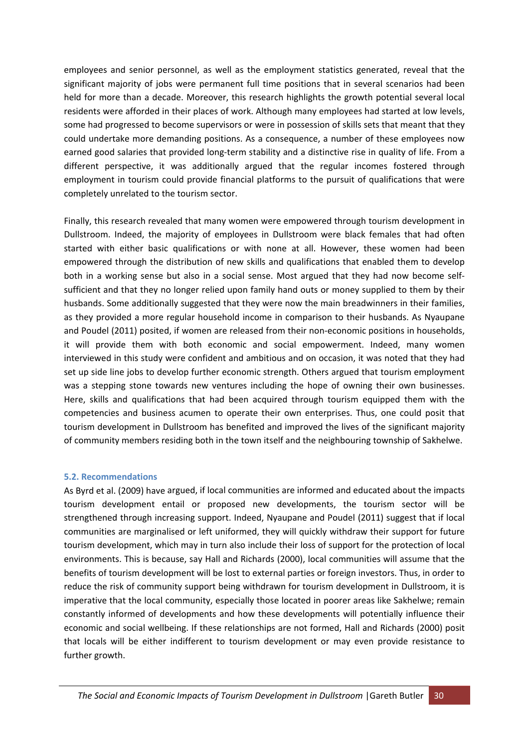employees and senior personnel, as well as the employment statistics generated, reveal that the significant majority of jobs were permanent full time positions that in several scenarios had been held for more than a decade. Moreover, this research highlights the growth potential several local residents were afforded in their places of work. Although many employees had started at low levels, some had progressed to become supervisors or were in possession of skills sets that meant that they could undertake more demanding positions. As a consequence, a number of these employees now earned good salaries that provided long‐term stability and a distinctive rise in quality of life. From a different perspective, it was additionally argued that the regular incomes fostered through employment in tourism could provide financial platforms to the pursuit of qualifications that were completely unrelated to the tourism sector.

Finally, this research revealed that many women were empowered through tourism development in Dullstroom. Indeed, the majority of employees in Dullstroom were black females that had often started with either basic qualifications or with none at all. However, these women had been empowered through the distribution of new skills and qualifications that enabled them to develop both in a working sense but also in a social sense. Most argued that they had now become selfsufficient and that they no longer relied upon family hand outs or money supplied to them by their husbands. Some additionally suggested that they were now the main breadwinners in their families, as they provided a more regular household income in comparison to their husbands. As Nyaupane and Poudel (2011) posited, if women are released from their non-economic positions in households, it will provide them with both economic and social empowerment. Indeed, many women interviewed in this study were confident and ambitious and on occasion, it was noted that they had set up side line jobs to develop further economic strength. Others argued that tourism employment was a stepping stone towards new ventures including the hope of owning their own businesses. Here, skills and qualifications that had been acquired through tourism equipped them with the competencies and business acumen to operate their own enterprises. Thus, one could posit that tourism development in Dullstroom has benefited and improved the lives of the significant majority of community members residing both in the town itself and the neighbouring township of Sakhelwe.

#### **5.2. Recommendations**

As Byrd et al. (2009) have argued, if local communities are informed and educated about the impacts tourism development entail or proposed new developments, the tourism sector will be strengthened through increasing support. Indeed, Nyaupane and Poudel (2011) suggest that if local communities are marginalised or left uniformed, they will quickly withdraw their support for future tourism development, which may in turn also include their loss of support for the protection of local environments. This is because, say Hall and Richards (2000), local communities will assume that the benefits of tourism development will be lost to external parties or foreign investors. Thus, in order to reduce the risk of community support being withdrawn for tourism development in Dullstroom, it is imperative that the local community, especially those located in poorer areas like Sakhelwe; remain constantly informed of developments and how these developments will potentially influence their economic and social wellbeing. If these relationships are not formed, Hall and Richards (2000) posit that locals will be either indifferent to tourism development or may even provide resistance to further growth.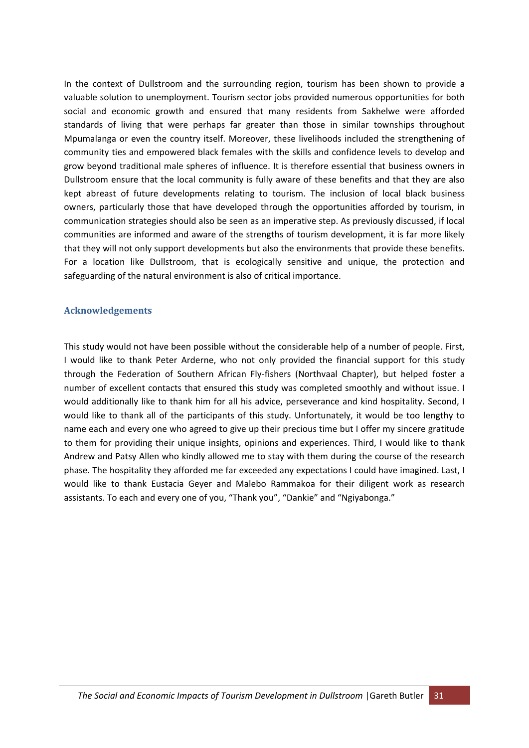In the context of Dullstroom and the surrounding region, tourism has been shown to provide a valuable solution to unemployment. Tourism sector jobs provided numerous opportunities for both social and economic growth and ensured that many residents from Sakhelwe were afforded standards of living that were perhaps far greater than those in similar townships throughout Mpumalanga or even the country itself. Moreover, these livelihoods included the strengthening of community ties and empowered black females with the skills and confidence levels to develop and grow beyond traditional male spheres of influence. It is therefore essential that business owners in Dullstroom ensure that the local community is fully aware of these benefits and that they are also kept abreast of future developments relating to tourism. The inclusion of local black business owners, particularly those that have developed through the opportunities afforded by tourism, in communication strategies should also be seen as an imperative step. As previously discussed, if local communities are informed and aware of the strengths of tourism development, it is far more likely that they will not only support developments but also the environments that provide these benefits. For a location like Dullstroom, that is ecologically sensitive and unique, the protection and safeguarding of the natural environment is also of critical importance.

#### **Acknowledgements**

This study would not have been possible without the considerable help of a number of people. First, I would like to thank Peter Arderne, who not only provided the financial support for this study through the Federation of Southern African Fly‐fishers (Northvaal Chapter), but helped foster a number of excellent contacts that ensured this study was completed smoothly and without issue. I would additionally like to thank him for all his advice, perseverance and kind hospitality. Second, I would like to thank all of the participants of this study. Unfortunately, it would be too lengthy to name each and every one who agreed to give up their precious time but I offer my sincere gratitude to them for providing their unique insights, opinions and experiences. Third, I would like to thank Andrew and Patsy Allen who kindly allowed me to stay with them during the course of the research phase. The hospitality they afforded me far exceeded any expectations I could have imagined. Last, I would like to thank Eustacia Geyer and Malebo Rammakoa for their diligent work as research assistants. To each and every one of you, "Thank you", "Dankie" and "Ngiyabonga."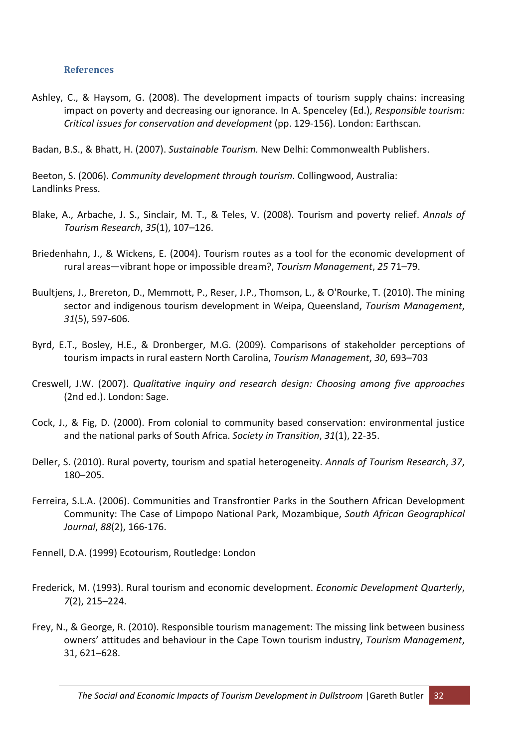#### **References**

Ashley, C., & Haysom, G. (2008). The development impacts of tourism supply chains: increasing impact on poverty and decreasing our ignorance. In A. Spenceley (Ed.), *Responsible tourism: Critical issues for conservation and development* (pp. 129‐156). London: Earthscan.

Badan, B.S., & Bhatt, H. (2007). *Sustainable Tourism.* New Delhi: Commonwealth Publishers.

Beeton, S. (2006). *Community development through tourism*. Collingwood, Australia: Landlinks Press.

- Blake, A., Arbache, J. S., Sinclair, M. T., & Teles, V. (2008). Tourism and poverty relief. *Annals of Tourism Research*, *35*(1), 107–126.
- Briedenhahn, J., & Wickens, E. (2004). Tourism routes as a tool for the economic development of rural areas—vibrant hope or impossible dream?, *Tourism Management*, *25* 71–79.
- Buultjens, J., Brereton, D., Memmott, P., Reser, J.P., Thomson, L., & O'Rourke, T. (2010). The mining sector and indigenous tourism development in Weipa, Queensland, *Tourism Management*, *31*(5), 597‐606.
- Byrd, E.T., Bosley, H.E., & Dronberger, M.G. (2009). Comparisons of stakeholder perceptions of tourism impacts in rural eastern North Carolina, *Tourism Management*, *30*, 693–703
- Creswell, J.W. (2007). *Qualitative inquiry and research design: Choosing among five approaches* (2nd ed.). London: Sage.
- Cock, J., & Fig, D. (2000). From colonial to community based conservation: environmental justice and the national parks of South Africa. *Society in Transition*, *31*(1), 22‐35.
- Deller, S. (2010). Rural poverty, tourism and spatial heterogeneity. *Annals of Tourism Research*, *37*, 180–205.
- Ferreira, S.L.A. (2006). Communities and Transfrontier Parks in the Southern African Development Community: The Case of Limpopo National Park, Mozambique, *South African Geographical Journal*, *88*(2), 166‐176.
- Fennell, D.A. (1999) Ecotourism, Routledge: London
- Frederick, M. (1993). Rural tourism and economic development. *Economic Development Quarterly*, *7*(2), 215–224.
- Frey, N., & George, R. (2010). Responsible tourism management: The missing link between business owners' attitudes and behaviour in the Cape Town tourism industry, *Tourism Management*, 31, 621–628.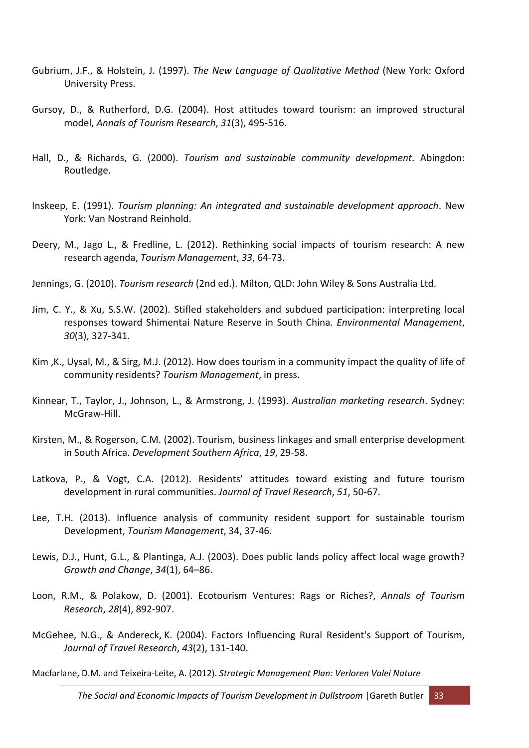- Gubrium, J.F., & Holstein, J. (1997). *The New Language of Qualitative Method* (New York: Oxford University Press.
- Gursoy, D., & Rutherford, D.G. (2004). Host attitudes toward tourism: an improved structural model, *Annals of Tourism Research*, *31*(3), 495‐516.
- Hall, D., & Richards, G. (2000). *Tourism and sustainable community development*. Abingdon: Routledge.
- Inskeep, E. (1991). *Tourism planning: An integrated and sustainable development approach*. New York: Van Nostrand Reinhold.
- Deery, M., Jago L., & Fredline, L. (2012). Rethinking social impacts of tourism research: A new research agenda, *Tourism Management*, *33*, 64‐73.
- Jennings, G. (2010). *Tourism research* (2nd ed.). Milton, QLD: John Wiley & Sons Australia Ltd.
- Jim, C. Y., & Xu, S.S.W. (2002). Stifled stakeholders and subdued participation: interpreting local responses toward Shimentai Nature Reserve in South China. *Environmental Management*, *30*(3), 327‐341.
- Kim ,K., Uysal, M., & Sirg, M.J. (2012). How does tourism in a community impact the quality of life of community residents? *Tourism Management*, in press.
- Kinnear, T., Taylor, J., Johnson, L., & Armstrong, J. (1993). *Australian marketing research*. Sydney: McGraw‐Hill.
- Kirsten, M., & Rogerson, C.M. (2002). Tourism, business linkages and small enterprise development in South Africa. *Development Southern Africa*, *19*, 29‐58.
- Latkova, P., & Vogt, C.A. (2012). Residents' attitudes toward existing and future tourism development in rural communities. *Journal of Travel Research*, *51*, 50‐67.
- Lee, T.H. (2013). Influence analysis of community resident support for sustainable tourism Development, *Tourism Management*, 34, 37‐46.
- Lewis, D.J., Hunt, G.L., & Plantinga, A.J. (2003). Does public lands policy affect local wage growth? *Growth and Change*, *34*(1), 64–86.
- Loon, R.M., & Polakow, D. (2001). Ecotourism Ventures: Rags or Riches?, *Annals of Tourism Research*, *28*(4), 892‐907.
- McGehee, N.G., & Andereck, K. (2004). Factors Influencing Rural Resident's Support of Tourism, *Journal of Travel Research*, *43*(2), 131‐140.

Macfarlane, D.M. and Teixeira‐Leite, A. (2012). *Strategic Management Plan: Verloren Valei Nature*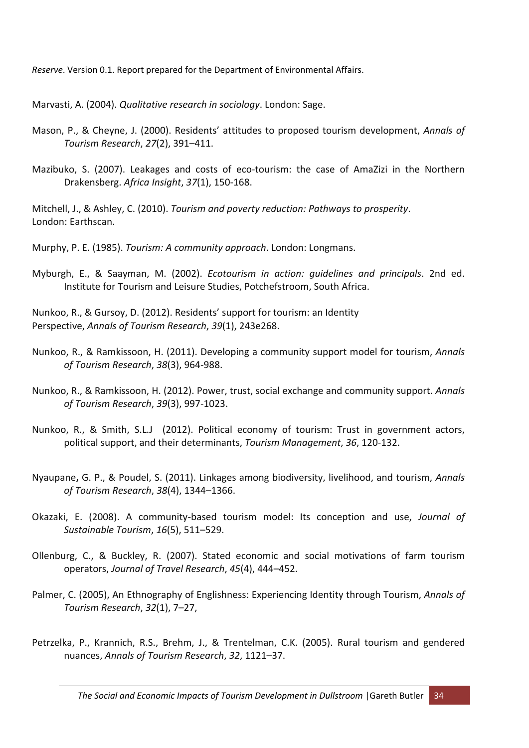*Reserve*. Version 0.1. Report prepared for the Department of Environmental Affairs.

Marvasti, A. (2004). *Qualitative research in sociology*. London: Sage.

- Mason, P., & Cheyne, J. (2000). Residents' attitudes to proposed tourism development, *Annals of Tourism Research*, *27*(2), 391–411.
- Mazibuko, S. (2007). Leakages and costs of eco-tourism: the case of AmaZizi in the Northern Drakensberg. *Africa Insight*, *37*(1), 150‐168.

Mitchell, J., & Ashley, C. (2010). *Tourism and poverty reduction: Pathways to prosperity*. London: Earthscan.

Murphy, P. E. (1985). *Tourism: A community approach*. London: Longmans.

Myburgh, E., & Saayman, M. (2002). *Ecotourism in action: guidelines and principals*. 2nd ed. Institute for Tourism and Leisure Studies, Potchefstroom, South Africa.

Nunkoo, R., & Gursoy, D. (2012). Residents' support for tourism: an Identity Perspective, *Annals of Tourism Research*, *39*(1), 243e268.

- Nunkoo, R., & Ramkissoon, H. (2011). Developing a community support model for tourism, *Annals of Tourism Research*, *38*(3), 964‐988.
- Nunkoo, R., & Ramkissoon, H. (2012). Power, trust, social exchange and community support. *Annals of Tourism Research*, *39*(3), 997‐1023.
- Nunkoo, R., & Smith, S.L.J (2012). Political economy of tourism: Trust in government actors, political support, and their determinants, *Tourism Management*, *36*, 120‐132.
- Nyaupane**,** G. P., & Poudel, S. (2011). Linkages among biodiversity, livelihood, and tourism, *Annals of Tourism Research*, *38*(4), 1344–1366.
- Okazaki, E. (2008). A community‐based tourism model: Its conception and use, *Journal of Sustainable Tourism*, *16*(5), 511–529.
- Ollenburg, C., & Buckley, R. (2007). Stated economic and social motivations of farm tourism operators, *Journal of Travel Research*, *45*(4), 444–452.
- Palmer, C. (2005), An Ethnography of Englishness: Experiencing Identity through Tourism, *Annals of Tourism Research*, *32*(1), 7–27,
- Petrzelka, P., Krannich, R.S., Brehm, J., & Trentelman, C.K. (2005). Rural tourism and gendered nuances, *Annals of Tourism Research*, *32*, 1121–37.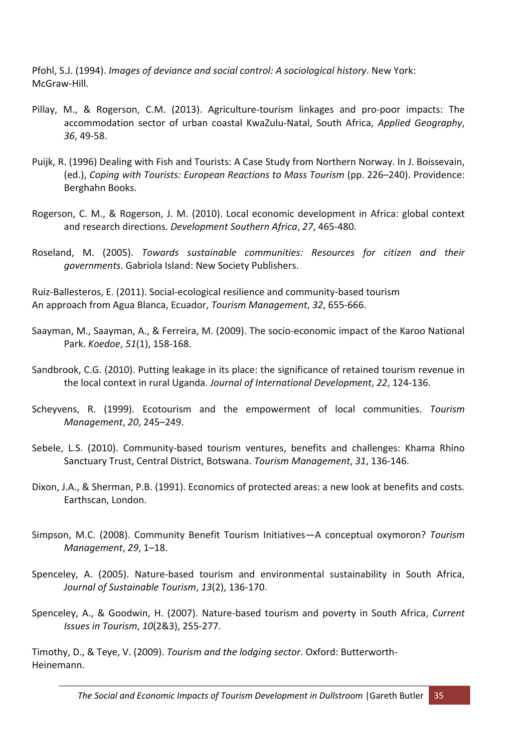Pfohl, S.J. (1994). *Images of deviance and social control: A sociological history*. New York: McGraw‐Hill.

- Pillay, M., & Rogerson, C.M. (2013). Agriculture‐tourism linkages and pro‐poor impacts: The accommodation sector of urban coastal KwaZulu‐Natal, South Africa, *Applied Geography*, *36*, 49‐58.
- Puijk, R. (1996) Dealing with Fish and Tourists: A Case Study from Northern Norway. In J. Boissevain, (ed.), *Coping with Tourists: European Reactions to Mass Tourism* (pp. 226–240). Providence: Berghahn Books.
- Rogerson, C. M., & Rogerson, J. M. (2010). Local economic development in Africa: global context and research directions. *Development Southern Africa*, *27*, 465‐480.
- Roseland, M. (2005). *Towards sustainable communities: Resources for citizen and their governments*. Gabriola Island: New Society Publishers.

Ruiz‐Ballesteros, E. (2011). Social‐ecological resilience and community‐based tourism An approach from Agua Blanca, Ecuador, *Tourism Management*, *32*, 655‐666.

- Saayman, M., Saayman, A., & Ferreira, M. (2009). The socio‐economic impact of the Karoo National Park. *Koedoe*, *51*(1), 158‐168.
- Sandbrook, C.G. (2010). Putting leakage in its place: the significance of retained tourism revenue in the local context in rural Uganda. *Journal of International Development*, *22*, 124‐136.
- Scheyvens, R. (1999). Ecotourism and the empowerment of local communities. *Tourism Management*, *20*, 245–249.
- Sebele, L.S. (2010). Community‐based tourism ventures, benefits and challenges: Khama Rhino Sanctuary Trust, Central District, Botswana. *Tourism Management*, *31*, 136‐146.
- Dixon, J.A., & Sherman, P.B. (1991). Economics of protected areas: a new look at benefits and costs. Earthscan, London.
- Simpson, M.C. (2008). Community Benefit Tourism Initiatives—A conceptual oxymoron? *Tourism Management*, *29*, 1–18.
- Spenceley, A. (2005). Nature‐based tourism and environmental sustainability in South Africa, *Journal of Sustainable Tourism*, *13*(2), 136‐170.
- Spenceley, A., & Goodwin, H. (2007). Nature‐based tourism and poverty in South Africa, *Current Issues in Tourism*, *10*(2&3), 255‐277.

Timothy, D., & Teye, V. (2009). *Tourism and the lodging sector*. Oxford: Butterworth‐ Heinemann.